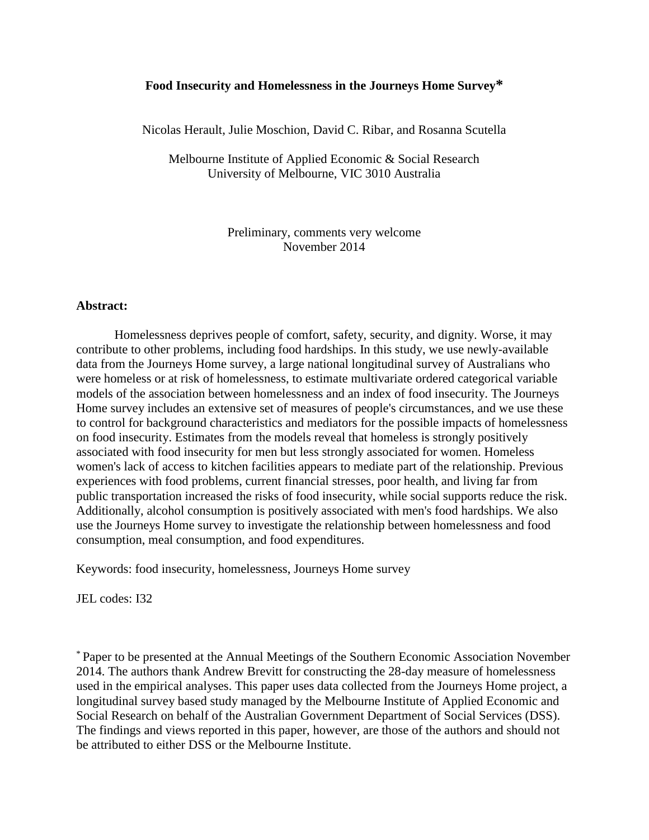# **Food Insecurity and Homelessness in the Journeys Home Survey\***

Nicolas Herault, Julie Moschion, David C. Ribar, and Rosanna Scutella

Melbourne Institute of Applied Economic & Social Research University of Melbourne, VIC 3010 Australia

> Preliminary, comments very welcome November 2014

#### **Abstract:**

Homelessness deprives people of comfort, safety, security, and dignity. Worse, it may contribute to other problems, including food hardships. In this study, we use newly-available data from the Journeys Home survey, a large national longitudinal survey of Australians who were homeless or at risk of homelessness, to estimate multivariate ordered categorical variable models of the association between homelessness and an index of food insecurity. The Journeys Home survey includes an extensive set of measures of people's circumstances, and we use these to control for background characteristics and mediators for the possible impacts of homelessness on food insecurity. Estimates from the models reveal that homeless is strongly positively associated with food insecurity for men but less strongly associated for women. Homeless women's lack of access to kitchen facilities appears to mediate part of the relationship. Previous experiences with food problems, current financial stresses, poor health, and living far from public transportation increased the risks of food insecurity, while social supports reduce the risk. Additionally, alcohol consumption is positively associated with men's food hardships. We also use the Journeys Home survey to investigate the relationship between homelessness and food consumption, meal consumption, and food expenditures.

Keywords: food insecurity, homelessness, Journeys Home survey

JEL codes: I32

\* Paper to be presented at the Annual Meetings of the Southern Economic Association November 2014. The authors thank Andrew Brevitt for constructing the 28-day measure of homelessness used in the empirical analyses. This paper uses data collected from the Journeys Home project, a longitudinal survey based study managed by the Melbourne Institute of Applied Economic and Social Research on behalf of the Australian Government Department of Social Services (DSS). The findings and views reported in this paper, however, are those of the authors and should not be attributed to either DSS or the Melbourne Institute.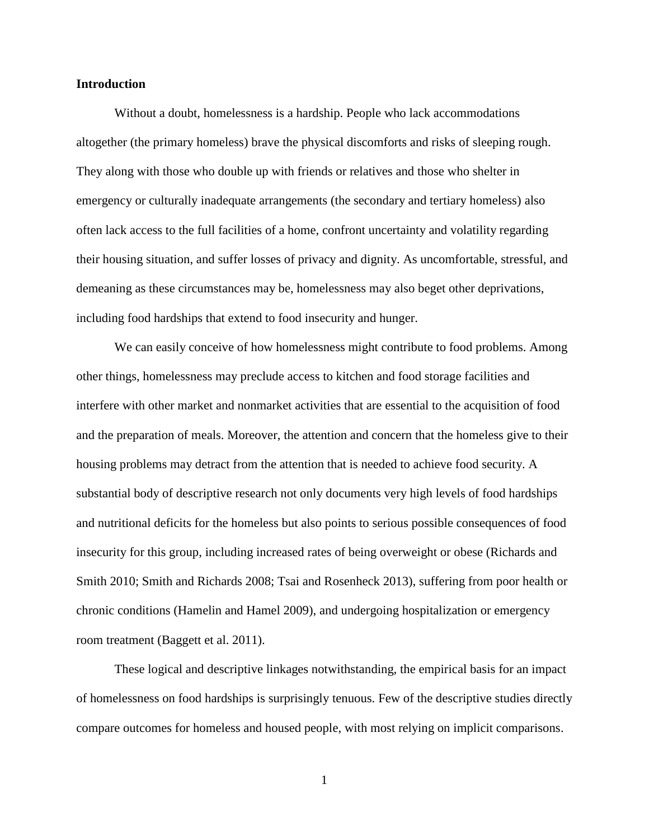## **Introduction**

Without a doubt, homelessness is a hardship. People who lack accommodations altogether (the primary homeless) brave the physical discomforts and risks of sleeping rough. They along with those who double up with friends or relatives and those who shelter in emergency or culturally inadequate arrangements (the secondary and tertiary homeless) also often lack access to the full facilities of a home, confront uncertainty and volatility regarding their housing situation, and suffer losses of privacy and dignity. As uncomfortable, stressful, and demeaning as these circumstances may be, homelessness may also beget other deprivations, including food hardships that extend to food insecurity and hunger.

We can easily conceive of how homelessness might contribute to food problems. Among other things, homelessness may preclude access to kitchen and food storage facilities and interfere with other market and nonmarket activities that are essential to the acquisition of food and the preparation of meals. Moreover, the attention and concern that the homeless give to their housing problems may detract from the attention that is needed to achieve food security. A substantial body of descriptive research not only documents very high levels of food hardships and nutritional deficits for the homeless but also points to serious possible consequences of food insecurity for this group, including increased rates of being overweight or obese (Richards and Smith 2010; Smith and Richards 2008; Tsai and Rosenheck 2013), suffering from poor health or chronic conditions (Hamelin and Hamel 2009), and undergoing hospitalization or emergency room treatment (Baggett et al. 2011).

These logical and descriptive linkages notwithstanding, the empirical basis for an impact of homelessness on food hardships is surprisingly tenuous. Few of the descriptive studies directly compare outcomes for homeless and housed people, with most relying on implicit comparisons.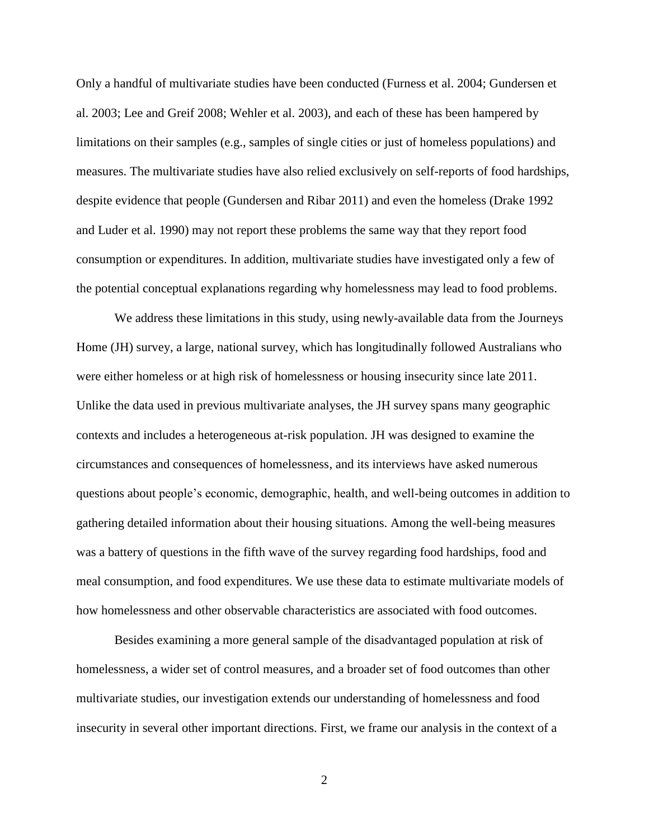Only a handful of multivariate studies have been conducted (Furness et al. 2004; Gundersen et al. 2003; Lee and Greif 2008; Wehler et al. 2003), and each of these has been hampered by limitations on their samples (e.g., samples of single cities or just of homeless populations) and measures. The multivariate studies have also relied exclusively on self-reports of food hardships, despite evidence that people (Gundersen and Ribar 2011) and even the homeless (Drake 1992 and Luder et al. 1990) may not report these problems the same way that they report food consumption or expenditures. In addition, multivariate studies have investigated only a few of the potential conceptual explanations regarding why homelessness may lead to food problems.

We address these limitations in this study, using newly-available data from the Journeys Home (JH) survey, a large, national survey, which has longitudinally followed Australians who were either homeless or at high risk of homelessness or housing insecurity since late 2011. Unlike the data used in previous multivariate analyses, the JH survey spans many geographic contexts and includes a heterogeneous at-risk population. JH was designed to examine the circumstances and consequences of homelessness, and its interviews have asked numerous questions about people's economic, demographic, health, and well-being outcomes in addition to gathering detailed information about their housing situations. Among the well-being measures was a battery of questions in the fifth wave of the survey regarding food hardships, food and meal consumption, and food expenditures. We use these data to estimate multivariate models of how homelessness and other observable characteristics are associated with food outcomes.

Besides examining a more general sample of the disadvantaged population at risk of homelessness, a wider set of control measures, and a broader set of food outcomes than other multivariate studies, our investigation extends our understanding of homelessness and food insecurity in several other important directions. First, we frame our analysis in the context of a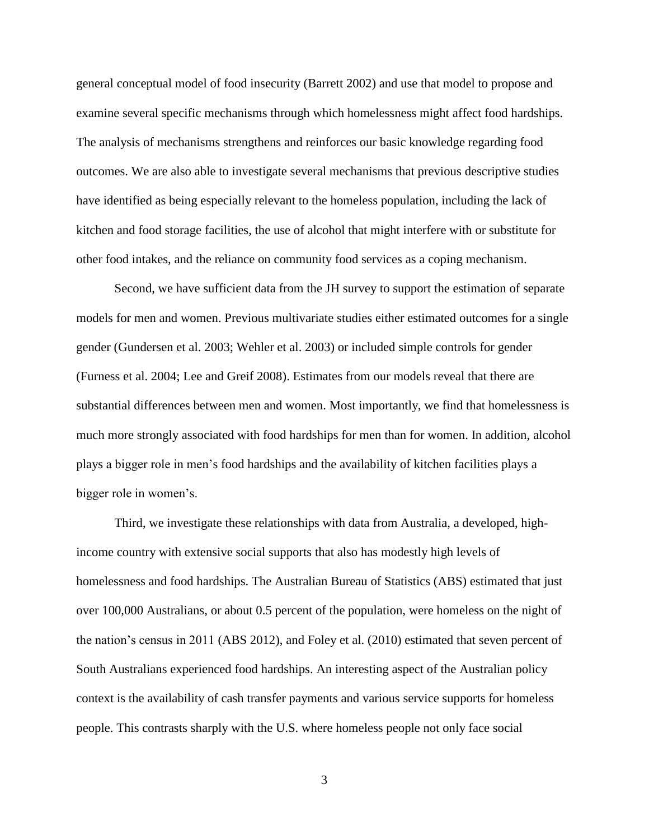general conceptual model of food insecurity (Barrett 2002) and use that model to propose and examine several specific mechanisms through which homelessness might affect food hardships. The analysis of mechanisms strengthens and reinforces our basic knowledge regarding food outcomes. We are also able to investigate several mechanisms that previous descriptive studies have identified as being especially relevant to the homeless population, including the lack of kitchen and food storage facilities, the use of alcohol that might interfere with or substitute for other food intakes, and the reliance on community food services as a coping mechanism.

Second, we have sufficient data from the JH survey to support the estimation of separate models for men and women. Previous multivariate studies either estimated outcomes for a single gender (Gundersen et al. 2003; Wehler et al. 2003) or included simple controls for gender (Furness et al. 2004; Lee and Greif 2008). Estimates from our models reveal that there are substantial differences between men and women. Most importantly, we find that homelessness is much more strongly associated with food hardships for men than for women. In addition, alcohol plays a bigger role in men's food hardships and the availability of kitchen facilities plays a bigger role in women's.

Third, we investigate these relationships with data from Australia, a developed, highincome country with extensive social supports that also has modestly high levels of homelessness and food hardships. The Australian Bureau of Statistics (ABS) estimated that just over 100,000 Australians, or about 0.5 percent of the population, were homeless on the night of the nation's census in 2011 (ABS 2012), and Foley et al. (2010) estimated that seven percent of South Australians experienced food hardships. An interesting aspect of the Australian policy context is the availability of cash transfer payments and various service supports for homeless people. This contrasts sharply with the U.S. where homeless people not only face social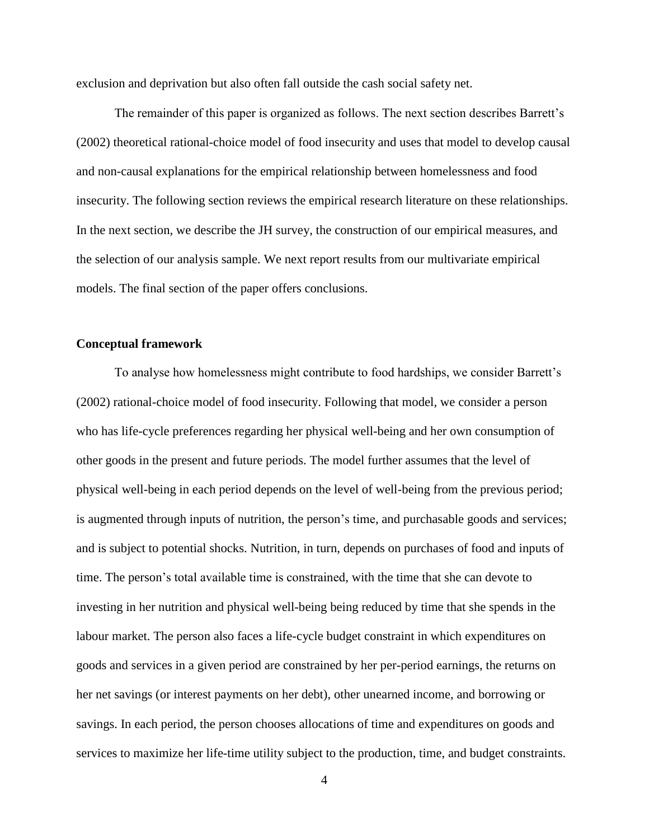exclusion and deprivation but also often fall outside the cash social safety net.

The remainder of this paper is organized as follows. The next section describes Barrett's (2002) theoretical rational-choice model of food insecurity and uses that model to develop causal and non-causal explanations for the empirical relationship between homelessness and food insecurity. The following section reviews the empirical research literature on these relationships. In the next section, we describe the JH survey, the construction of our empirical measures, and the selection of our analysis sample. We next report results from our multivariate empirical models. The final section of the paper offers conclusions.

## **Conceptual framework**

To analyse how homelessness might contribute to food hardships, we consider Barrett's (2002) rational-choice model of food insecurity. Following that model, we consider a person who has life-cycle preferences regarding her physical well-being and her own consumption of other goods in the present and future periods. The model further assumes that the level of physical well-being in each period depends on the level of well-being from the previous period; is augmented through inputs of nutrition, the person's time, and purchasable goods and services; and is subject to potential shocks. Nutrition, in turn, depends on purchases of food and inputs of time. The person's total available time is constrained, with the time that she can devote to investing in her nutrition and physical well-being being reduced by time that she spends in the labour market. The person also faces a life-cycle budget constraint in which expenditures on goods and services in a given period are constrained by her per-period earnings, the returns on her net savings (or interest payments on her debt), other unearned income, and borrowing or savings. In each period, the person chooses allocations of time and expenditures on goods and services to maximize her life-time utility subject to the production, time, and budget constraints.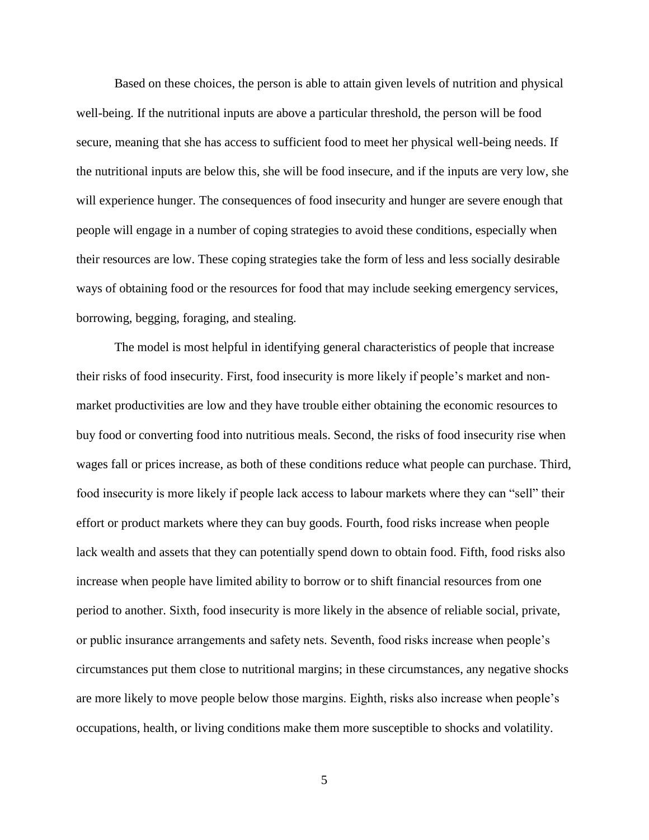Based on these choices, the person is able to attain given levels of nutrition and physical well-being. If the nutritional inputs are above a particular threshold, the person will be food secure, meaning that she has access to sufficient food to meet her physical well-being needs. If the nutritional inputs are below this, she will be food insecure, and if the inputs are very low, she will experience hunger. The consequences of food insecurity and hunger are severe enough that people will engage in a number of coping strategies to avoid these conditions, especially when their resources are low. These coping strategies take the form of less and less socially desirable ways of obtaining food or the resources for food that may include seeking emergency services, borrowing, begging, foraging, and stealing.

The model is most helpful in identifying general characteristics of people that increase their risks of food insecurity. First, food insecurity is more likely if people's market and nonmarket productivities are low and they have trouble either obtaining the economic resources to buy food or converting food into nutritious meals. Second, the risks of food insecurity rise when wages fall or prices increase, as both of these conditions reduce what people can purchase. Third, food insecurity is more likely if people lack access to labour markets where they can "sell" their effort or product markets where they can buy goods. Fourth, food risks increase when people lack wealth and assets that they can potentially spend down to obtain food. Fifth, food risks also increase when people have limited ability to borrow or to shift financial resources from one period to another. Sixth, food insecurity is more likely in the absence of reliable social, private, or public insurance arrangements and safety nets. Seventh, food risks increase when people's circumstances put them close to nutritional margins; in these circumstances, any negative shocks are more likely to move people below those margins. Eighth, risks also increase when people's occupations, health, or living conditions make them more susceptible to shocks and volatility.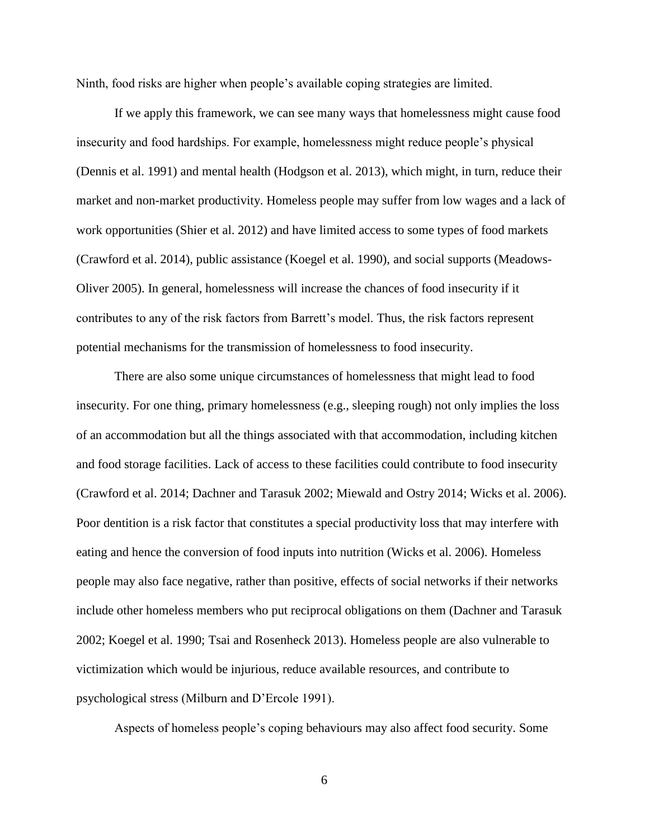Ninth, food risks are higher when people's available coping strategies are limited.

If we apply this framework, we can see many ways that homelessness might cause food insecurity and food hardships. For example, homelessness might reduce people's physical (Dennis et al. 1991) and mental health (Hodgson et al. 2013), which might, in turn, reduce their market and non-market productivity. Homeless people may suffer from low wages and a lack of work opportunities (Shier et al. 2012) and have limited access to some types of food markets (Crawford et al. 2014), public assistance (Koegel et al. 1990), and social supports (Meadows-Oliver 2005). In general, homelessness will increase the chances of food insecurity if it contributes to any of the risk factors from Barrett's model. Thus, the risk factors represent potential mechanisms for the transmission of homelessness to food insecurity.

There are also some unique circumstances of homelessness that might lead to food insecurity. For one thing, primary homelessness (e.g., sleeping rough) not only implies the loss of an accommodation but all the things associated with that accommodation, including kitchen and food storage facilities. Lack of access to these facilities could contribute to food insecurity (Crawford et al. 2014; Dachner and Tarasuk 2002; Miewald and Ostry 2014; Wicks et al. 2006). Poor dentition is a risk factor that constitutes a special productivity loss that may interfere with eating and hence the conversion of food inputs into nutrition (Wicks et al. 2006). Homeless people may also face negative, rather than positive, effects of social networks if their networks include other homeless members who put reciprocal obligations on them (Dachner and Tarasuk 2002; Koegel et al. 1990; Tsai and Rosenheck 2013). Homeless people are also vulnerable to victimization which would be injurious, reduce available resources, and contribute to psychological stress (Milburn and D'Ercole 1991).

Aspects of homeless people's coping behaviours may also affect food security. Some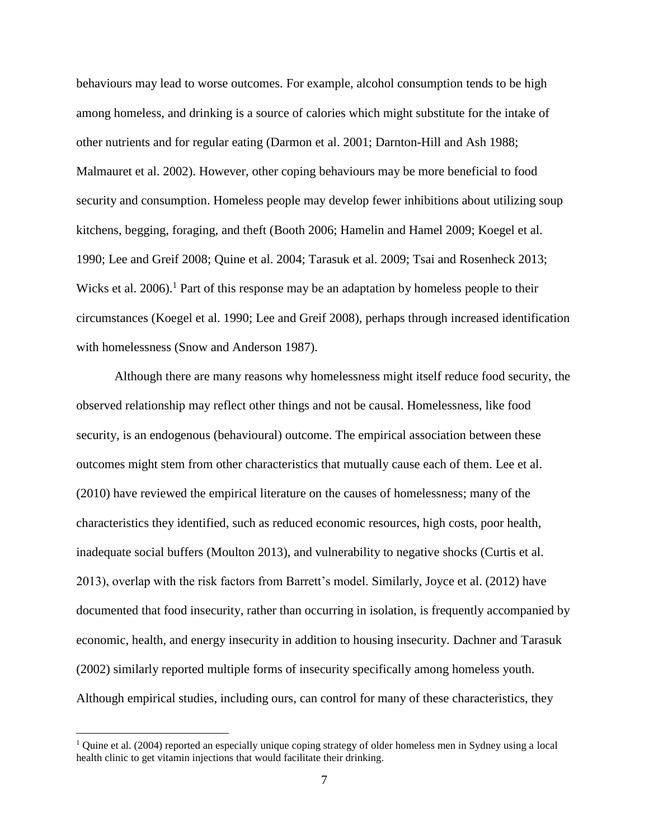behaviours may lead to worse outcomes. For example, alcohol consumption tends to be high among homeless, and drinking is a source of calories which might substitute for the intake of other nutrients and for regular eating (Darmon et al. 2001; Darnton-Hill and Ash 1988; Malmauret et al. 2002). However, other coping behaviours may be more beneficial to food security and consumption. Homeless people may develop fewer inhibitions about utilizing soup kitchens, begging, foraging, and theft (Booth 2006; Hamelin and Hamel 2009; Koegel et al. 1990; Lee and Greif 2008; Quine et al. 2004; Tarasuk et al. 2009; Tsai and Rosenheck 2013; Wicks et al.  $2006$ .<sup>1</sup> Part of this response may be an adaptation by homeless people to their circumstances (Koegel et al. 1990; Lee and Greif 2008), perhaps through increased identification with homelessness (Snow and Anderson 1987).

Although there are many reasons why homelessness might itself reduce food security, the observed relationship may reflect other things and not be causal. Homelessness, like food security, is an endogenous (behavioural) outcome. The empirical association between these outcomes might stem from other characteristics that mutually cause each of them. Lee et al. (2010) have reviewed the empirical literature on the causes of homelessness; many of the characteristics they identified, such as reduced economic resources, high costs, poor health, inadequate social buffers (Moulton 2013), and vulnerability to negative shocks (Curtis et al. 2013), overlap with the risk factors from Barrett's model. Similarly, Joyce et al. (2012) have documented that food insecurity, rather than occurring in isolation, is frequently accompanied by economic, health, and energy insecurity in addition to housing insecurity. Dachner and Tarasuk (2002) similarly reported multiple forms of insecurity specifically among homeless youth. Although empirical studies, including ours, can control for many of these characteristics, they

 $\overline{a}$ 

<sup>&</sup>lt;sup>1</sup> Quine et al. (2004) reported an especially unique coping strategy of older homeless men in Sydney using a local health clinic to get vitamin injections that would facilitate their drinking.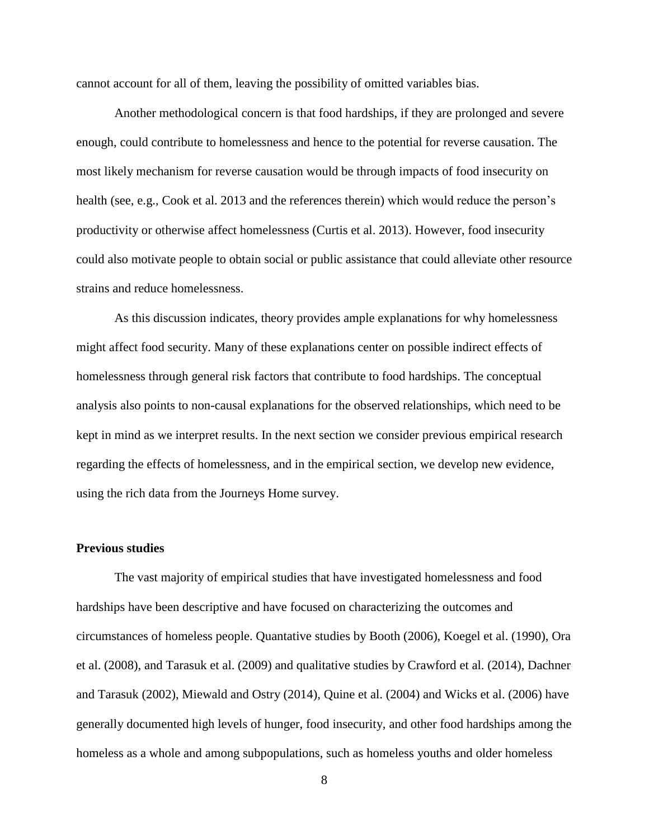cannot account for all of them, leaving the possibility of omitted variables bias.

Another methodological concern is that food hardships, if they are prolonged and severe enough, could contribute to homelessness and hence to the potential for reverse causation. The most likely mechanism for reverse causation would be through impacts of food insecurity on health (see, e.g., Cook et al. 2013 and the references therein) which would reduce the person's productivity or otherwise affect homelessness (Curtis et al. 2013). However, food insecurity could also motivate people to obtain social or public assistance that could alleviate other resource strains and reduce homelessness.

As this discussion indicates, theory provides ample explanations for why homelessness might affect food security. Many of these explanations center on possible indirect effects of homelessness through general risk factors that contribute to food hardships. The conceptual analysis also points to non-causal explanations for the observed relationships, which need to be kept in mind as we interpret results. In the next section we consider previous empirical research regarding the effects of homelessness, and in the empirical section, we develop new evidence, using the rich data from the Journeys Home survey.

# **Previous studies**

The vast majority of empirical studies that have investigated homelessness and food hardships have been descriptive and have focused on characterizing the outcomes and circumstances of homeless people. Quantative studies by Booth (2006), Koegel et al. (1990), Ora et al. (2008), and Tarasuk et al. (2009) and qualitative studies by Crawford et al. (2014), Dachner and Tarasuk (2002), Miewald and Ostry (2014), Quine et al. (2004) and Wicks et al. (2006) have generally documented high levels of hunger, food insecurity, and other food hardships among the homeless as a whole and among subpopulations, such as homeless youths and older homeless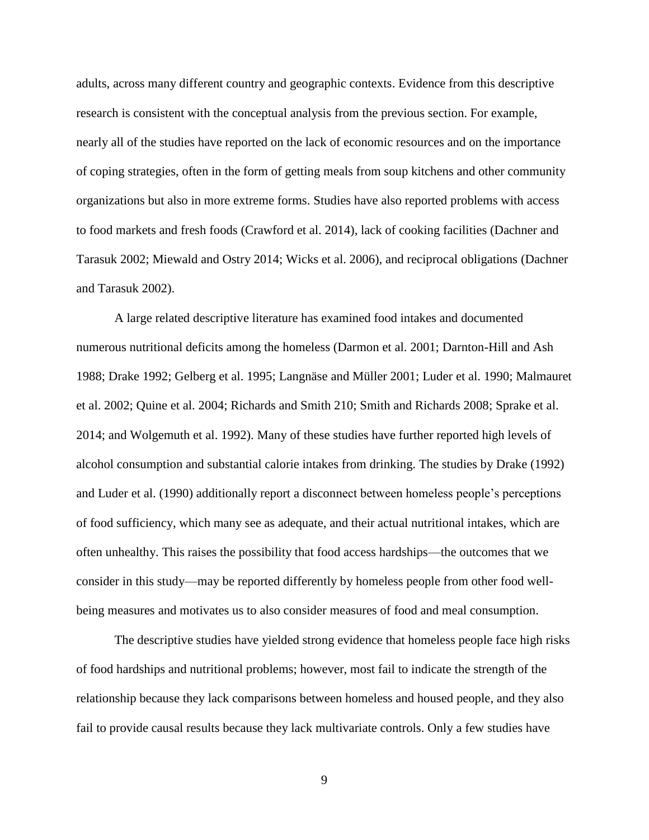adults, across many different country and geographic contexts. Evidence from this descriptive research is consistent with the conceptual analysis from the previous section. For example, nearly all of the studies have reported on the lack of economic resources and on the importance of coping strategies, often in the form of getting meals from soup kitchens and other community organizations but also in more extreme forms. Studies have also reported problems with access to food markets and fresh foods (Crawford et al. 2014), lack of cooking facilities (Dachner and Tarasuk 2002; Miewald and Ostry 2014; Wicks et al. 2006), and reciprocal obligations (Dachner and Tarasuk 2002).

A large related descriptive literature has examined food intakes and documented numerous nutritional deficits among the homeless (Darmon et al. 2001; Darnton-Hill and Ash 1988; Drake 1992; Gelberg et al. 1995; Langnäse and Müller 2001; Luder et al. 1990; Malmauret et al. 2002; Quine et al. 2004; Richards and Smith 210; Smith and Richards 2008; Sprake et al. 2014; and Wolgemuth et al. 1992). Many of these studies have further reported high levels of alcohol consumption and substantial calorie intakes from drinking. The studies by Drake (1992) and Luder et al. (1990) additionally report a disconnect between homeless people's perceptions of food sufficiency, which many see as adequate, and their actual nutritional intakes, which are often unhealthy. This raises the possibility that food access hardships—the outcomes that we consider in this study—may be reported differently by homeless people from other food wellbeing measures and motivates us to also consider measures of food and meal consumption.

The descriptive studies have yielded strong evidence that homeless people face high risks of food hardships and nutritional problems; however, most fail to indicate the strength of the relationship because they lack comparisons between homeless and housed people, and they also fail to provide causal results because they lack multivariate controls. Only a few studies have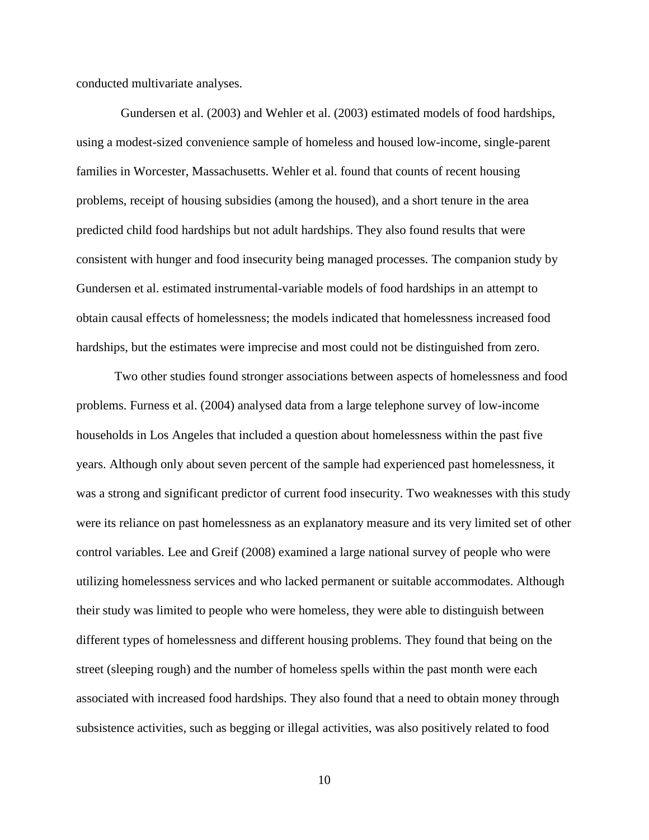conducted multivariate analyses.

 Gundersen et al. (2003) and Wehler et al. (2003) estimated models of food hardships, using a modest-sized convenience sample of homeless and housed low-income, single-parent families in Worcester, Massachusetts. Wehler et al. found that counts of recent housing problems, receipt of housing subsidies (among the housed), and a short tenure in the area predicted child food hardships but not adult hardships. They also found results that were consistent with hunger and food insecurity being managed processes. The companion study by Gundersen et al. estimated instrumental-variable models of food hardships in an attempt to obtain causal effects of homelessness; the models indicated that homelessness increased food hardships, but the estimates were imprecise and most could not be distinguished from zero.

Two other studies found stronger associations between aspects of homelessness and food problems. Furness et al. (2004) analysed data from a large telephone survey of low-income households in Los Angeles that included a question about homelessness within the past five years. Although only about seven percent of the sample had experienced past homelessness, it was a strong and significant predictor of current food insecurity. Two weaknesses with this study were its reliance on past homelessness as an explanatory measure and its very limited set of other control variables. Lee and Greif (2008) examined a large national survey of people who were utilizing homelessness services and who lacked permanent or suitable accommodates. Although their study was limited to people who were homeless, they were able to distinguish between different types of homelessness and different housing problems. They found that being on the street (sleeping rough) and the number of homeless spells within the past month were each associated with increased food hardships. They also found that a need to obtain money through subsistence activities, such as begging or illegal activities, was also positively related to food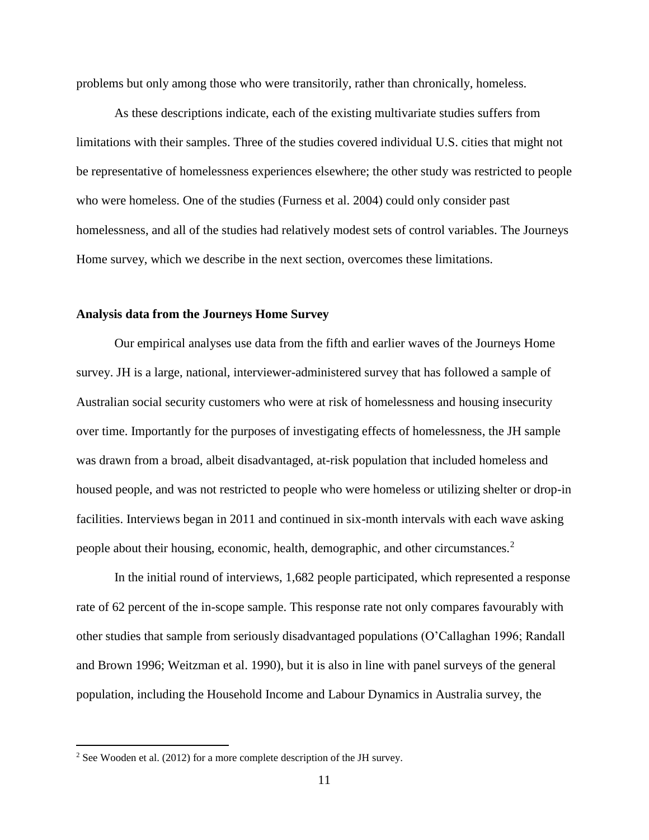problems but only among those who were transitorily, rather than chronically, homeless.

As these descriptions indicate, each of the existing multivariate studies suffers from limitations with their samples. Three of the studies covered individual U.S. cities that might not be representative of homelessness experiences elsewhere; the other study was restricted to people who were homeless. One of the studies (Furness et al. 2004) could only consider past homelessness, and all of the studies had relatively modest sets of control variables. The Journeys Home survey, which we describe in the next section, overcomes these limitations.

### **Analysis data from the Journeys Home Survey**

Our empirical analyses use data from the fifth and earlier waves of the Journeys Home survey. JH is a large, national, interviewer-administered survey that has followed a sample of Australian social security customers who were at risk of homelessness and housing insecurity over time. Importantly for the purposes of investigating effects of homelessness, the JH sample was drawn from a broad, albeit disadvantaged, at-risk population that included homeless and housed people, and was not restricted to people who were homeless or utilizing shelter or drop-in facilities. Interviews began in 2011 and continued in six-month intervals with each wave asking people about their housing, economic, health, demographic, and other circumstances.<sup>2</sup>

In the initial round of interviews, 1,682 people participated, which represented a response rate of 62 percent of the in-scope sample. This response rate not only compares favourably with other studies that sample from seriously disadvantaged populations (O'Callaghan 1996; Randall and Brown 1996; Weitzman et al. 1990), but it is also in line with panel surveys of the general population, including the Household Income and Labour Dynamics in Australia survey, the

 $\overline{a}$ 

 $2$  See Wooden et al. (2012) for a more complete description of the JH survey.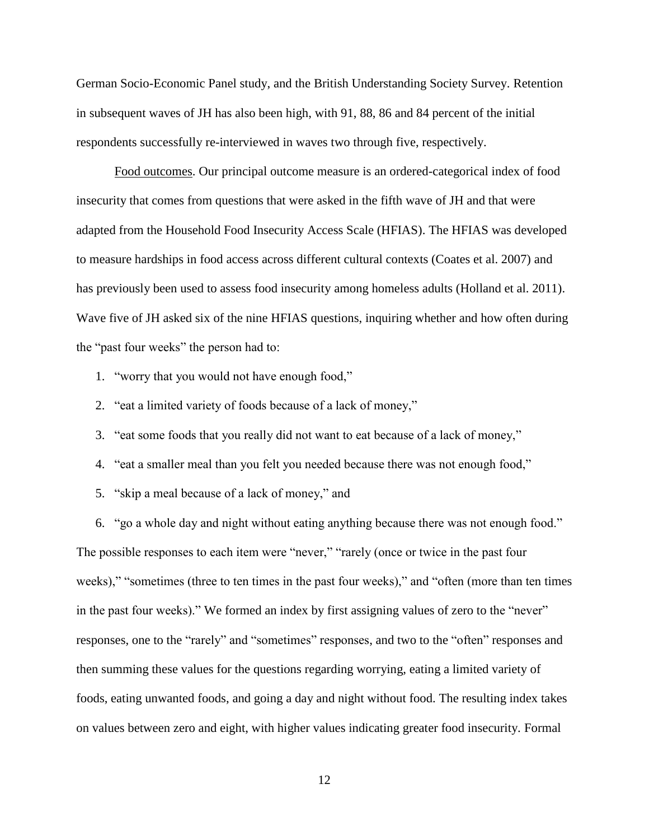German Socio-Economic Panel study, and the British Understanding Society Survey. Retention in subsequent waves of JH has also been high, with 91, 88, 86 and 84 percent of the initial respondents successfully re-interviewed in waves two through five, respectively.

Food outcomes. Our principal outcome measure is an ordered-categorical index of food insecurity that comes from questions that were asked in the fifth wave of JH and that were adapted from the Household Food Insecurity Access Scale (HFIAS). The HFIAS was developed to measure hardships in food access across different cultural contexts (Coates et al. 2007) and has previously been used to assess food insecurity among homeless adults (Holland et al. 2011). Wave five of JH asked six of the nine HFIAS questions, inquiring whether and how often during the "past four weeks" the person had to:

- 1. "worry that you would not have enough food,"
- 2. "eat a limited variety of foods because of a lack of money,"
- 3. "eat some foods that you really did not want to eat because of a lack of money,"
- 4. "eat a smaller meal than you felt you needed because there was not enough food,"
- 5. "skip a meal because of a lack of money," and

6. "go a whole day and night without eating anything because there was not enough food." The possible responses to each item were "never," "rarely (once or twice in the past four weeks)," "sometimes (three to ten times in the past four weeks)," and "often (more than ten times in the past four weeks)." We formed an index by first assigning values of zero to the "never" responses, one to the "rarely" and "sometimes" responses, and two to the "often" responses and then summing these values for the questions regarding worrying, eating a limited variety of foods, eating unwanted foods, and going a day and night without food. The resulting index takes on values between zero and eight, with higher values indicating greater food insecurity. Formal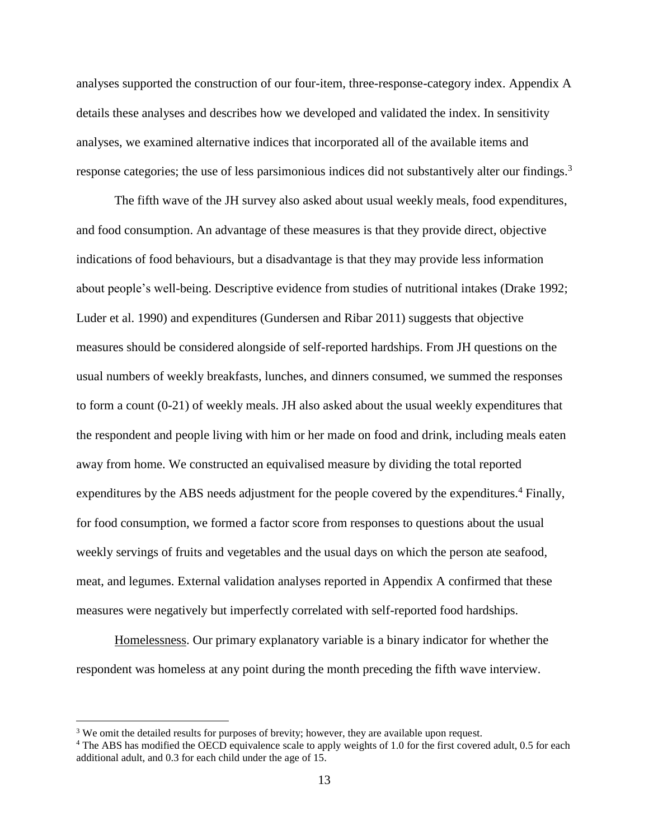analyses supported the construction of our four-item, three-response-category index. Appendix A details these analyses and describes how we developed and validated the index. In sensitivity analyses, we examined alternative indices that incorporated all of the available items and response categories; the use of less parsimonious indices did not substantively alter our findings.<sup>3</sup>

The fifth wave of the JH survey also asked about usual weekly meals, food expenditures, and food consumption. An advantage of these measures is that they provide direct, objective indications of food behaviours, but a disadvantage is that they may provide less information about people's well-being. Descriptive evidence from studies of nutritional intakes (Drake 1992; Luder et al. 1990) and expenditures (Gundersen and Ribar 2011) suggests that objective measures should be considered alongside of self-reported hardships. From JH questions on the usual numbers of weekly breakfasts, lunches, and dinners consumed, we summed the responses to form a count (0-21) of weekly meals. JH also asked about the usual weekly expenditures that the respondent and people living with him or her made on food and drink, including meals eaten away from home. We constructed an equivalised measure by dividing the total reported expenditures by the ABS needs adjustment for the people covered by the expenditures. $4$  Finally, for food consumption, we formed a factor score from responses to questions about the usual weekly servings of fruits and vegetables and the usual days on which the person ate seafood, meat, and legumes. External validation analyses reported in Appendix A confirmed that these measures were negatively but imperfectly correlated with self-reported food hardships.

Homelessness. Our primary explanatory variable is a binary indicator for whether the respondent was homeless at any point during the month preceding the fifth wave interview.

 $\overline{a}$ 

<sup>&</sup>lt;sup>3</sup> We omit the detailed results for purposes of brevity; however, they are available upon request.

<sup>&</sup>lt;sup>4</sup> The ABS has modified the OECD equivalence scale to apply weights of 1.0 for the first covered adult, 0.5 for each additional adult, and 0.3 for each child under the age of 15.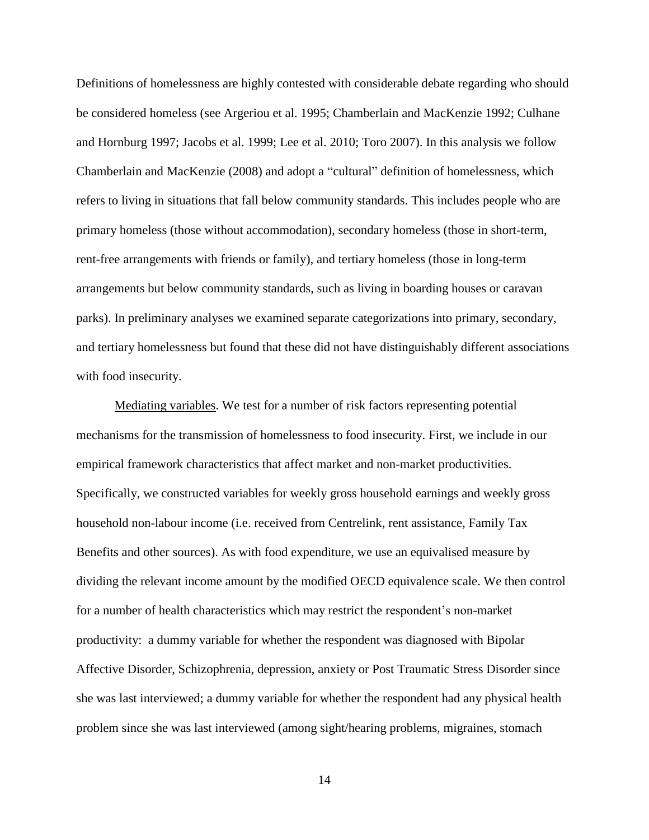Definitions of homelessness are highly contested with considerable debate regarding who should be considered homeless (see Argeriou et al. 1995; Chamberlain and MacKenzie 1992; Culhane and Hornburg 1997; Jacobs et al. 1999; Lee et al. 2010; Toro 2007). In this analysis we follow Chamberlain and MacKenzie (2008) and adopt a "cultural" definition of homelessness, which refers to living in situations that fall below community standards. This includes people who are primary homeless (those without accommodation), secondary homeless (those in short-term, rent-free arrangements with friends or family), and tertiary homeless (those in long-term arrangements but below community standards, such as living in boarding houses or caravan parks). In preliminary analyses we examined separate categorizations into primary, secondary, and tertiary homelessness but found that these did not have distinguishably different associations with food insecurity.

Mediating variables. We test for a number of risk factors representing potential mechanisms for the transmission of homelessness to food insecurity. First, we include in our empirical framework characteristics that affect market and non-market productivities. Specifically, we constructed variables for weekly gross household earnings and weekly gross household non-labour income (i.e. received from Centrelink, rent assistance, Family Tax Benefits and other sources). As with food expenditure, we use an equivalised measure by dividing the relevant income amount by the modified OECD equivalence scale. We then control for a number of health characteristics which may restrict the respondent's non-market productivity: a dummy variable for whether the respondent was diagnosed with Bipolar Affective Disorder, Schizophrenia, depression, anxiety or Post Traumatic Stress Disorder since she was last interviewed; a dummy variable for whether the respondent had any physical health problem since she was last interviewed (among sight/hearing problems, migraines, stomach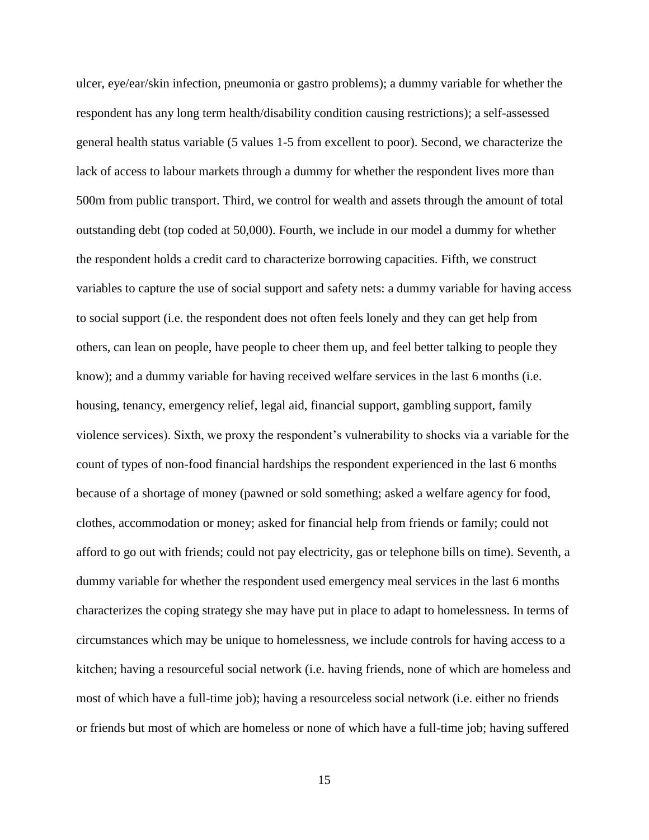ulcer, eye/ear/skin infection, pneumonia or gastro problems); a dummy variable for whether the respondent has any long term health/disability condition causing restrictions); a self-assessed general health status variable (5 values 1-5 from excellent to poor). Second, we characterize the lack of access to labour markets through a dummy for whether the respondent lives more than 500m from public transport. Third, we control for wealth and assets through the amount of total outstanding debt (top coded at 50,000). Fourth, we include in our model a dummy for whether the respondent holds a credit card to characterize borrowing capacities. Fifth, we construct variables to capture the use of social support and safety nets: a dummy variable for having access to social support (i.e. the respondent does not often feels lonely and they can get help from others, can lean on people, have people to cheer them up, and feel better talking to people they know); and a dummy variable for having received welfare services in the last 6 months (i.e. housing, tenancy, emergency relief, legal aid, financial support, gambling support, family violence services). Sixth, we proxy the respondent's vulnerability to shocks via a variable for the count of types of non-food financial hardships the respondent experienced in the last 6 months because of a shortage of money (pawned or sold something; asked a welfare agency for food, clothes, accommodation or money; asked for financial help from friends or family; could not afford to go out with friends; could not pay electricity, gas or telephone bills on time). Seventh, a dummy variable for whether the respondent used emergency meal services in the last 6 months characterizes the coping strategy she may have put in place to adapt to homelessness. In terms of circumstances which may be unique to homelessness, we include controls for having access to a kitchen; having a resourceful social network (i.e. having friends, none of which are homeless and most of which have a full-time job); having a resourceless social network (i.e. either no friends or friends but most of which are homeless or none of which have a full-time job; having suffered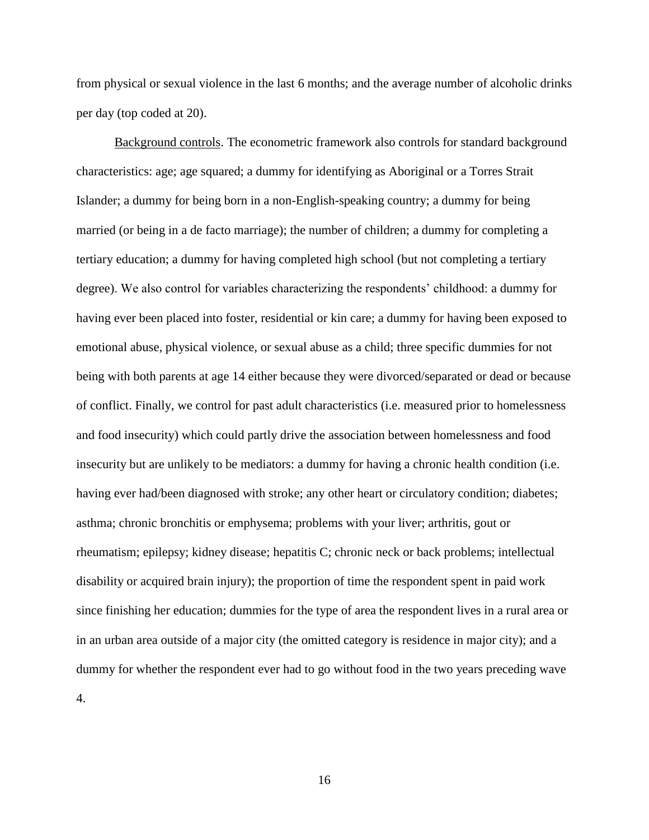from physical or sexual violence in the last 6 months; and the average number of alcoholic drinks per day (top coded at 20).

Background controls. The econometric framework also controls for standard background characteristics: age; age squared; a dummy for identifying as Aboriginal or a Torres Strait Islander; a dummy for being born in a non-English-speaking country; a dummy for being married (or being in a de facto marriage); the number of children; a dummy for completing a tertiary education; a dummy for having completed high school (but not completing a tertiary degree). We also control for variables characterizing the respondents' childhood: a dummy for having ever been placed into foster, residential or kin care; a dummy for having been exposed to emotional abuse, physical violence, or sexual abuse as a child; three specific dummies for not being with both parents at age 14 either because they were divorced/separated or dead or because of conflict. Finally, we control for past adult characteristics (i.e. measured prior to homelessness and food insecurity) which could partly drive the association between homelessness and food insecurity but are unlikely to be mediators: a dummy for having a chronic health condition (i.e. having ever had/been diagnosed with stroke; any other heart or circulatory condition; diabetes; asthma; chronic bronchitis or emphysema; problems with your liver; arthritis, gout or rheumatism; epilepsy; kidney disease; hepatitis C; chronic neck or back problems; intellectual disability or acquired brain injury); the proportion of time the respondent spent in paid work since finishing her education; dummies for the type of area the respondent lives in a rural area or in an urban area outside of a major city (the omitted category is residence in major city); and a dummy for whether the respondent ever had to go without food in the two years preceding wave 4.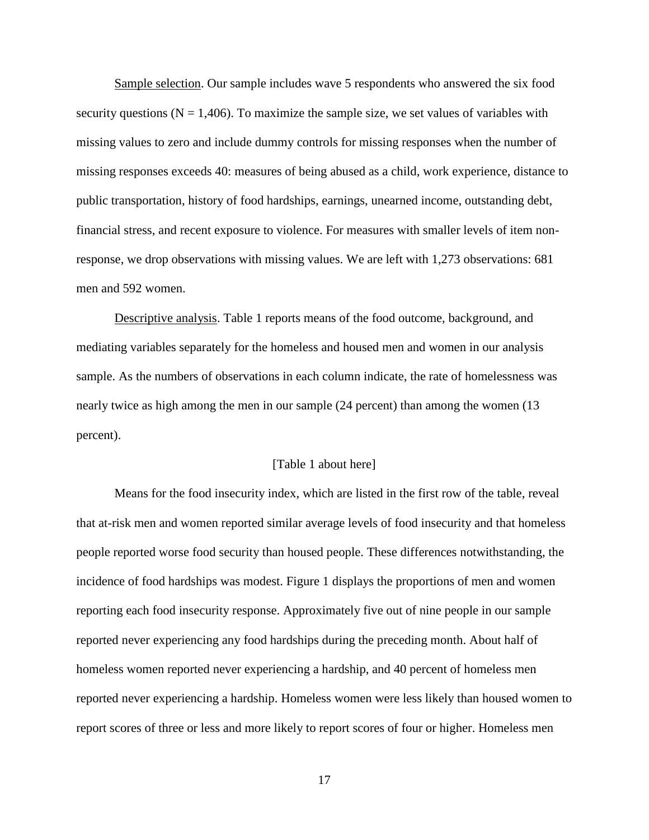Sample selection. Our sample includes wave 5 respondents who answered the six food security questions ( $N = 1,406$ ). To maximize the sample size, we set values of variables with missing values to zero and include dummy controls for missing responses when the number of missing responses exceeds 40: measures of being abused as a child, work experience, distance to public transportation, history of food hardships, earnings, unearned income, outstanding debt, financial stress, and recent exposure to violence. For measures with smaller levels of item nonresponse, we drop observations with missing values. We are left with 1,273 observations: 681 men and 592 women.

Descriptive analysis. Table 1 reports means of the food outcome, background, and mediating variables separately for the homeless and housed men and women in our analysis sample. As the numbers of observations in each column indicate, the rate of homelessness was nearly twice as high among the men in our sample (24 percent) than among the women (13 percent).

#### [Table 1 about here]

Means for the food insecurity index, which are listed in the first row of the table, reveal that at-risk men and women reported similar average levels of food insecurity and that homeless people reported worse food security than housed people. These differences notwithstanding, the incidence of food hardships was modest. Figure 1 displays the proportions of men and women reporting each food insecurity response. Approximately five out of nine people in our sample reported never experiencing any food hardships during the preceding month. About half of homeless women reported never experiencing a hardship, and 40 percent of homeless men reported never experiencing a hardship. Homeless women were less likely than housed women to report scores of three or less and more likely to report scores of four or higher. Homeless men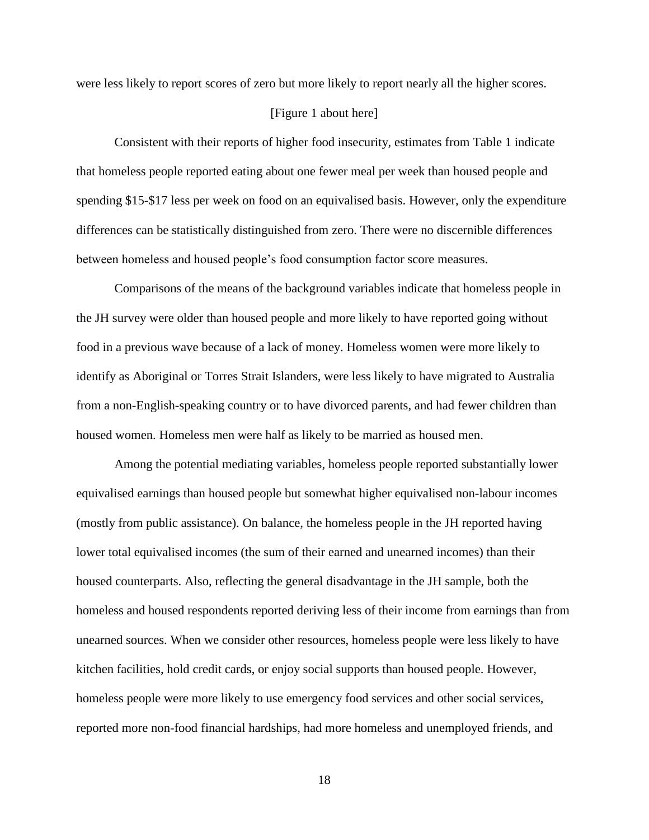were less likely to report scores of zero but more likely to report nearly all the higher scores.

# [Figure 1 about here]

Consistent with their reports of higher food insecurity, estimates from Table 1 indicate that homeless people reported eating about one fewer meal per week than housed people and spending \$15-\$17 less per week on food on an equivalised basis. However, only the expenditure differences can be statistically distinguished from zero. There were no discernible differences between homeless and housed people's food consumption factor score measures.

Comparisons of the means of the background variables indicate that homeless people in the JH survey were older than housed people and more likely to have reported going without food in a previous wave because of a lack of money. Homeless women were more likely to identify as Aboriginal or Torres Strait Islanders, were less likely to have migrated to Australia from a non-English-speaking country or to have divorced parents, and had fewer children than housed women. Homeless men were half as likely to be married as housed men.

Among the potential mediating variables, homeless people reported substantially lower equivalised earnings than housed people but somewhat higher equivalised non-labour incomes (mostly from public assistance). On balance, the homeless people in the JH reported having lower total equivalised incomes (the sum of their earned and unearned incomes) than their housed counterparts. Also, reflecting the general disadvantage in the JH sample, both the homeless and housed respondents reported deriving less of their income from earnings than from unearned sources. When we consider other resources, homeless people were less likely to have kitchen facilities, hold credit cards, or enjoy social supports than housed people. However, homeless people were more likely to use emergency food services and other social services, reported more non-food financial hardships, had more homeless and unemployed friends, and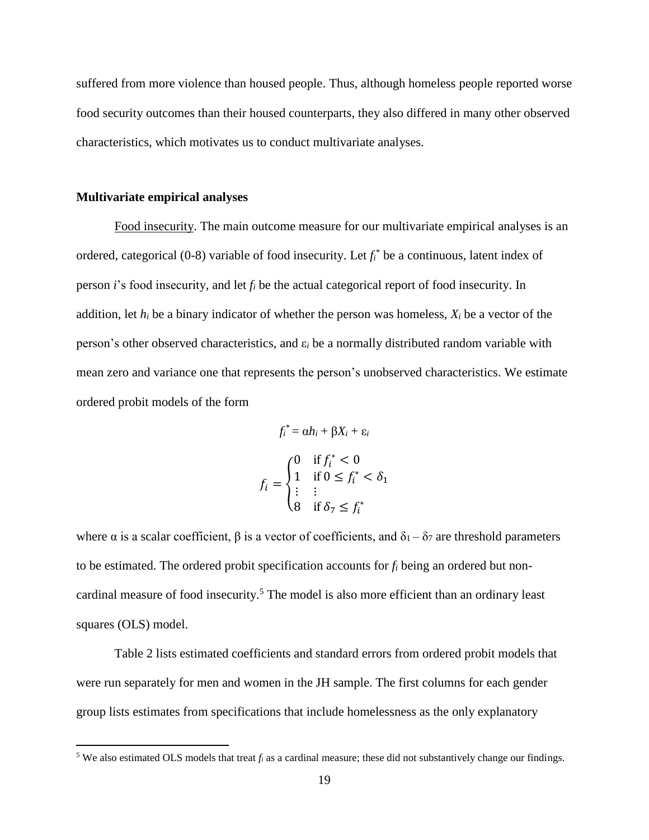suffered from more violence than housed people. Thus, although homeless people reported worse food security outcomes than their housed counterparts, they also differed in many other observed characteristics, which motivates us to conduct multivariate analyses.

#### **Multivariate empirical analyses**

 $\overline{a}$ 

Food insecurity. The main outcome measure for our multivariate empirical analyses is an ordered, categorical  $(0-8)$  variable of food insecurity. Let  $f_i^*$  be a continuous, latent index of person *i*'s food insecurity, and let *f<sup>i</sup>* be the actual categorical report of food insecurity. In addition, let  $h_i$  be a binary indicator of whether the person was homeless,  $X_i$  be a vector of the person's other observed characteristics, and ε*<sup>i</sup>* be a normally distributed random variable with mean zero and variance one that represents the person's unobserved characteristics. We estimate ordered probit models of the form

$$
f_i^* = \alpha h_i + \beta X_i + \varepsilon_i
$$

$$
f_i = \begin{cases} 0 & \text{if } f_i^* < 0 \\ 1 & \text{if } 0 \le f_i^* < \delta_1 \\ \vdots & \vdots \\ 8 & \text{if } \delta_7 \le f_i^* \end{cases}
$$

where  $\alpha$  is a scalar coefficient,  $\beta$  is a vector of coefficients, and  $\delta_1 - \delta_7$  are threshold parameters to be estimated. The ordered probit specification accounts for *f<sup>i</sup>* being an ordered but noncardinal measure of food insecurity.<sup>5</sup> The model is also more efficient than an ordinary least squares (OLS) model.

Table 2 lists estimated coefficients and standard errors from ordered probit models that were run separately for men and women in the JH sample. The first columns for each gender group lists estimates from specifications that include homelessness as the only explanatory

<sup>&</sup>lt;sup>5</sup> We also estimated OLS models that treat  $f_i$  as a cardinal measure; these did not substantively change our findings.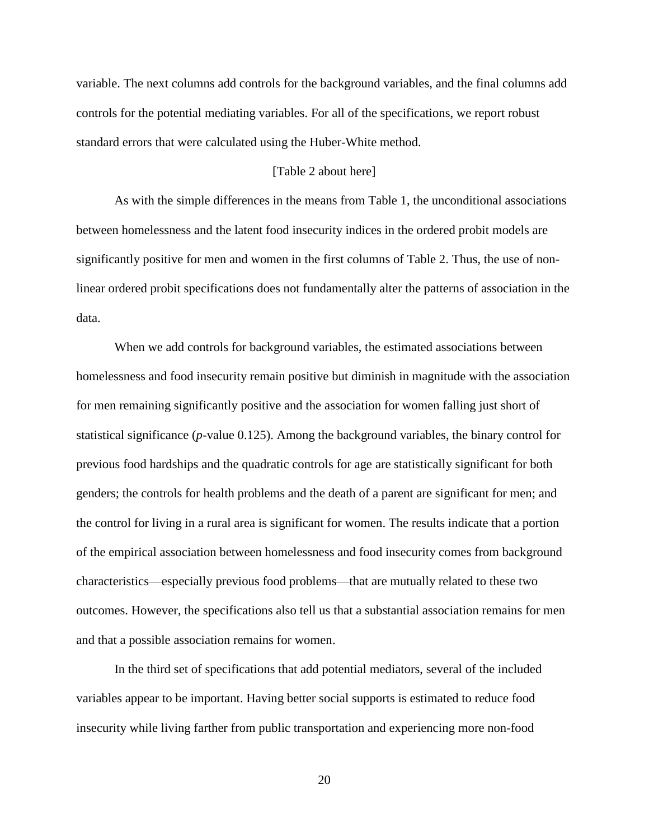variable. The next columns add controls for the background variables, and the final columns add controls for the potential mediating variables. For all of the specifications, we report robust standard errors that were calculated using the Huber-White method.

# [Table 2 about here]

As with the simple differences in the means from Table 1, the unconditional associations between homelessness and the latent food insecurity indices in the ordered probit models are significantly positive for men and women in the first columns of Table 2. Thus, the use of nonlinear ordered probit specifications does not fundamentally alter the patterns of association in the data.

When we add controls for background variables, the estimated associations between homelessness and food insecurity remain positive but diminish in magnitude with the association for men remaining significantly positive and the association for women falling just short of statistical significance (*p*-value 0.125). Among the background variables, the binary control for previous food hardships and the quadratic controls for age are statistically significant for both genders; the controls for health problems and the death of a parent are significant for men; and the control for living in a rural area is significant for women. The results indicate that a portion of the empirical association between homelessness and food insecurity comes from background characteristics—especially previous food problems—that are mutually related to these two outcomes. However, the specifications also tell us that a substantial association remains for men and that a possible association remains for women.

In the third set of specifications that add potential mediators, several of the included variables appear to be important. Having better social supports is estimated to reduce food insecurity while living farther from public transportation and experiencing more non-food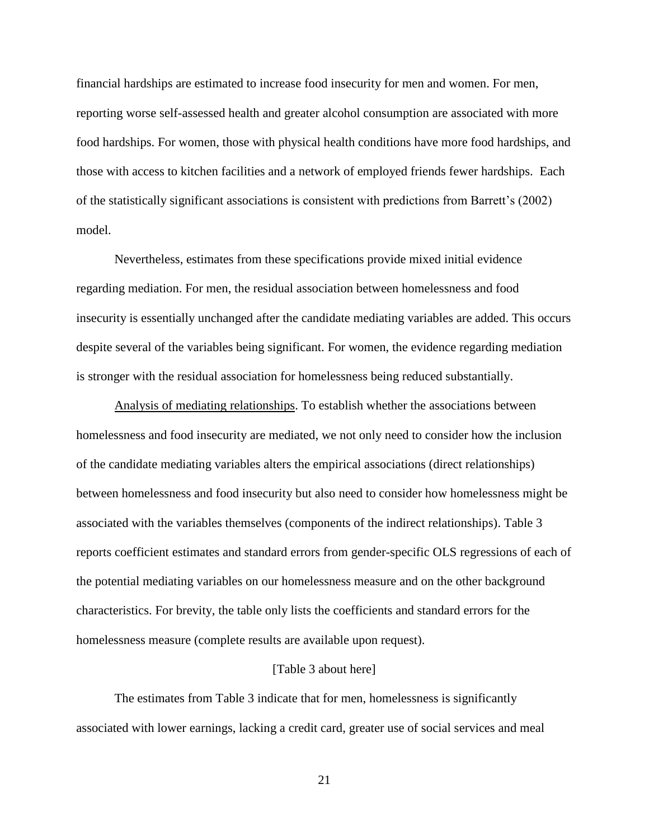financial hardships are estimated to increase food insecurity for men and women. For men, reporting worse self-assessed health and greater alcohol consumption are associated with more food hardships. For women, those with physical health conditions have more food hardships, and those with access to kitchen facilities and a network of employed friends fewer hardships. Each of the statistically significant associations is consistent with predictions from Barrett's (2002) model.

Nevertheless, estimates from these specifications provide mixed initial evidence regarding mediation. For men, the residual association between homelessness and food insecurity is essentially unchanged after the candidate mediating variables are added. This occurs despite several of the variables being significant. For women, the evidence regarding mediation is stronger with the residual association for homelessness being reduced substantially.

Analysis of mediating relationships. To establish whether the associations between homelessness and food insecurity are mediated, we not only need to consider how the inclusion of the candidate mediating variables alters the empirical associations (direct relationships) between homelessness and food insecurity but also need to consider how homelessness might be associated with the variables themselves (components of the indirect relationships). Table 3 reports coefficient estimates and standard errors from gender-specific OLS regressions of each of the potential mediating variables on our homelessness measure and on the other background characteristics. For brevity, the table only lists the coefficients and standard errors for the homelessness measure (complete results are available upon request).

#### [Table 3 about here]

The estimates from Table 3 indicate that for men, homelessness is significantly associated with lower earnings, lacking a credit card, greater use of social services and meal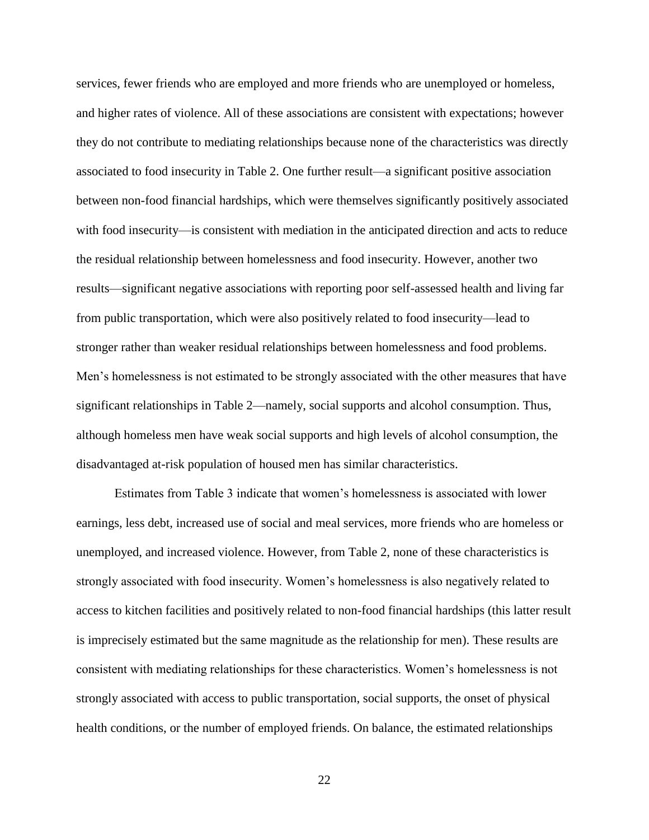services, fewer friends who are employed and more friends who are unemployed or homeless, and higher rates of violence. All of these associations are consistent with expectations; however they do not contribute to mediating relationships because none of the characteristics was directly associated to food insecurity in Table 2. One further result—a significant positive association between non-food financial hardships, which were themselves significantly positively associated with food insecurity—is consistent with mediation in the anticipated direction and acts to reduce the residual relationship between homelessness and food insecurity. However, another two results—significant negative associations with reporting poor self-assessed health and living far from public transportation, which were also positively related to food insecurity—lead to stronger rather than weaker residual relationships between homelessness and food problems. Men's homelessness is not estimated to be strongly associated with the other measures that have significant relationships in Table 2—namely, social supports and alcohol consumption. Thus, although homeless men have weak social supports and high levels of alcohol consumption, the disadvantaged at-risk population of housed men has similar characteristics.

Estimates from Table 3 indicate that women's homelessness is associated with lower earnings, less debt, increased use of social and meal services, more friends who are homeless or unemployed, and increased violence. However, from Table 2, none of these characteristics is strongly associated with food insecurity. Women's homelessness is also negatively related to access to kitchen facilities and positively related to non-food financial hardships (this latter result is imprecisely estimated but the same magnitude as the relationship for men). These results are consistent with mediating relationships for these characteristics. Women's homelessness is not strongly associated with access to public transportation, social supports, the onset of physical health conditions, or the number of employed friends. On balance, the estimated relationships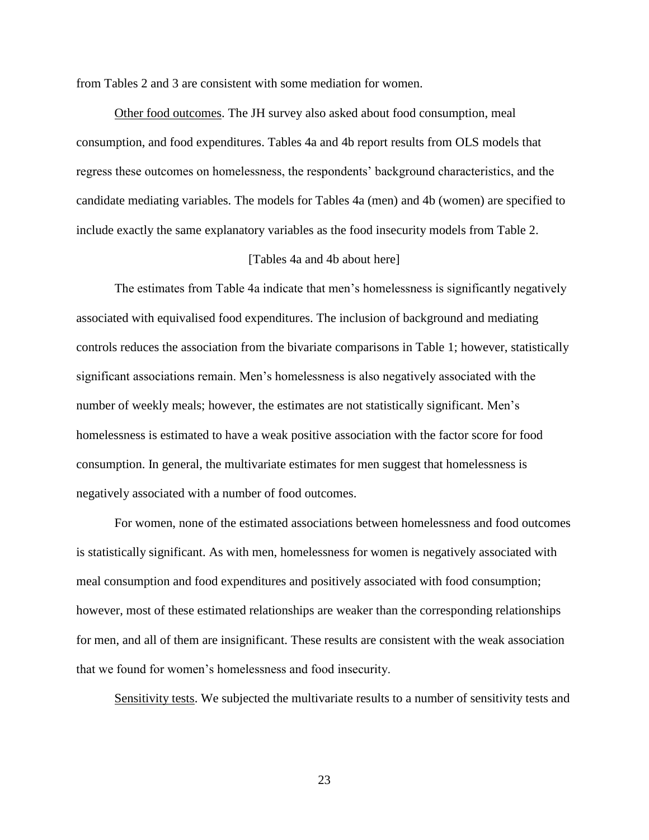from Tables 2 and 3 are consistent with some mediation for women.

Other food outcomes. The JH survey also asked about food consumption, meal consumption, and food expenditures. Tables 4a and 4b report results from OLS models that regress these outcomes on homelessness, the respondents' background characteristics, and the candidate mediating variables. The models for Tables 4a (men) and 4b (women) are specified to include exactly the same explanatory variables as the food insecurity models from Table 2.

## [Tables 4a and 4b about here]

The estimates from Table 4a indicate that men's homelessness is significantly negatively associated with equivalised food expenditures. The inclusion of background and mediating controls reduces the association from the bivariate comparisons in Table 1; however, statistically significant associations remain. Men's homelessness is also negatively associated with the number of weekly meals; however, the estimates are not statistically significant. Men's homelessness is estimated to have a weak positive association with the factor score for food consumption. In general, the multivariate estimates for men suggest that homelessness is negatively associated with a number of food outcomes.

For women, none of the estimated associations between homelessness and food outcomes is statistically significant. As with men, homelessness for women is negatively associated with meal consumption and food expenditures and positively associated with food consumption; however, most of these estimated relationships are weaker than the corresponding relationships for men, and all of them are insignificant. These results are consistent with the weak association that we found for women's homelessness and food insecurity.

Sensitivity tests. We subjected the multivariate results to a number of sensitivity tests and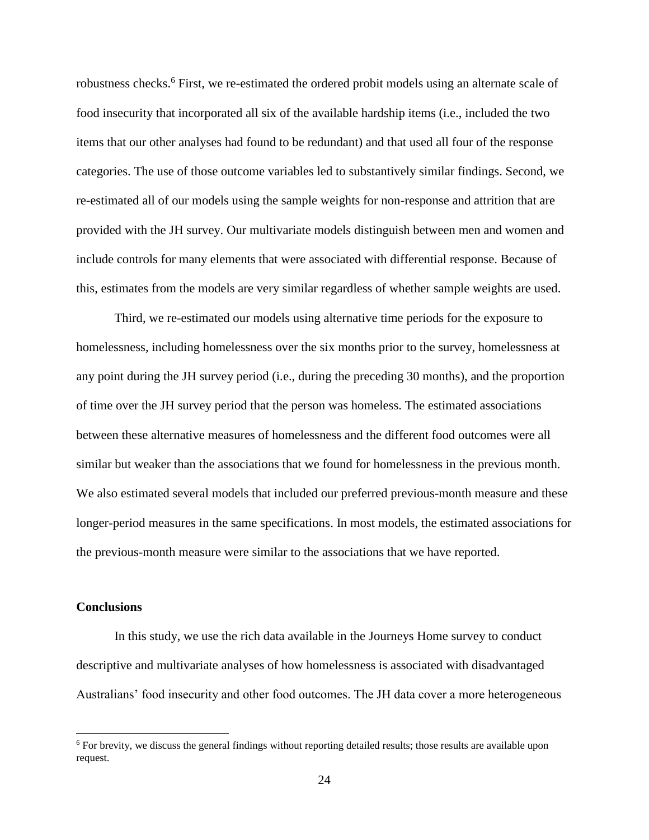robustness checks.<sup>6</sup> First, we re-estimated the ordered probit models using an alternate scale of food insecurity that incorporated all six of the available hardship items (i.e., included the two items that our other analyses had found to be redundant) and that used all four of the response categories. The use of those outcome variables led to substantively similar findings. Second, we re-estimated all of our models using the sample weights for non-response and attrition that are provided with the JH survey. Our multivariate models distinguish between men and women and include controls for many elements that were associated with differential response. Because of this, estimates from the models are very similar regardless of whether sample weights are used.

Third, we re-estimated our models using alternative time periods for the exposure to homelessness, including homelessness over the six months prior to the survey, homelessness at any point during the JH survey period (i.e., during the preceding 30 months), and the proportion of time over the JH survey period that the person was homeless. The estimated associations between these alternative measures of homelessness and the different food outcomes were all similar but weaker than the associations that we found for homelessness in the previous month. We also estimated several models that included our preferred previous-month measure and these longer-period measures in the same specifications. In most models, the estimated associations for the previous-month measure were similar to the associations that we have reported.

# **Conclusions**

 $\overline{a}$ 

In this study, we use the rich data available in the Journeys Home survey to conduct descriptive and multivariate analyses of how homelessness is associated with disadvantaged Australians' food insecurity and other food outcomes. The JH data cover a more heterogeneous

 $6$  For brevity, we discuss the general findings without reporting detailed results; those results are available upon request.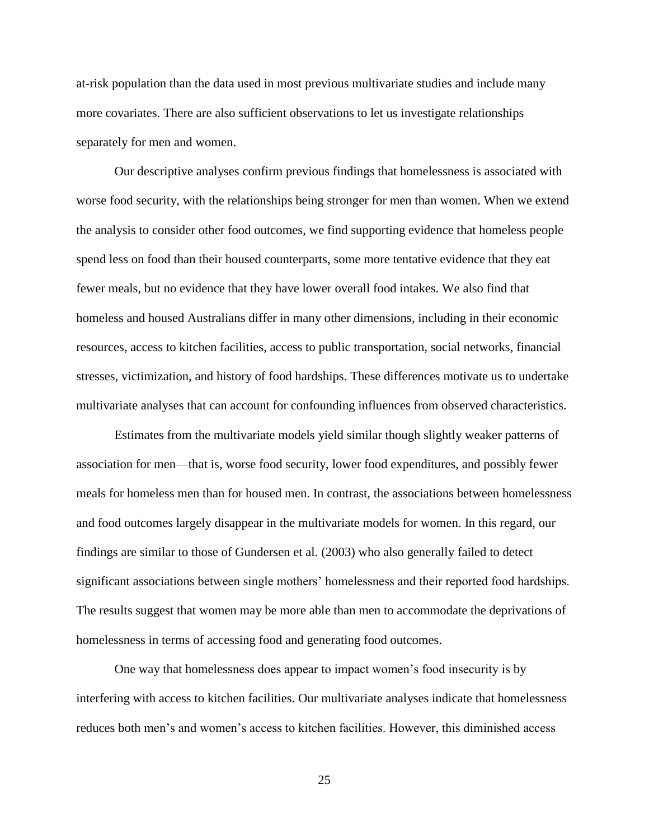at-risk population than the data used in most previous multivariate studies and include many more covariates. There are also sufficient observations to let us investigate relationships separately for men and women.

Our descriptive analyses confirm previous findings that homelessness is associated with worse food security, with the relationships being stronger for men than women. When we extend the analysis to consider other food outcomes, we find supporting evidence that homeless people spend less on food than their housed counterparts, some more tentative evidence that they eat fewer meals, but no evidence that they have lower overall food intakes. We also find that homeless and housed Australians differ in many other dimensions, including in their economic resources, access to kitchen facilities, access to public transportation, social networks, financial stresses, victimization, and history of food hardships. These differences motivate us to undertake multivariate analyses that can account for confounding influences from observed characteristics.

Estimates from the multivariate models yield similar though slightly weaker patterns of association for men—that is, worse food security, lower food expenditures, and possibly fewer meals for homeless men than for housed men. In contrast, the associations between homelessness and food outcomes largely disappear in the multivariate models for women. In this regard, our findings are similar to those of Gundersen et al. (2003) who also generally failed to detect significant associations between single mothers' homelessness and their reported food hardships. The results suggest that women may be more able than men to accommodate the deprivations of homelessness in terms of accessing food and generating food outcomes.

One way that homelessness does appear to impact women's food insecurity is by interfering with access to kitchen facilities. Our multivariate analyses indicate that homelessness reduces both men's and women's access to kitchen facilities. However, this diminished access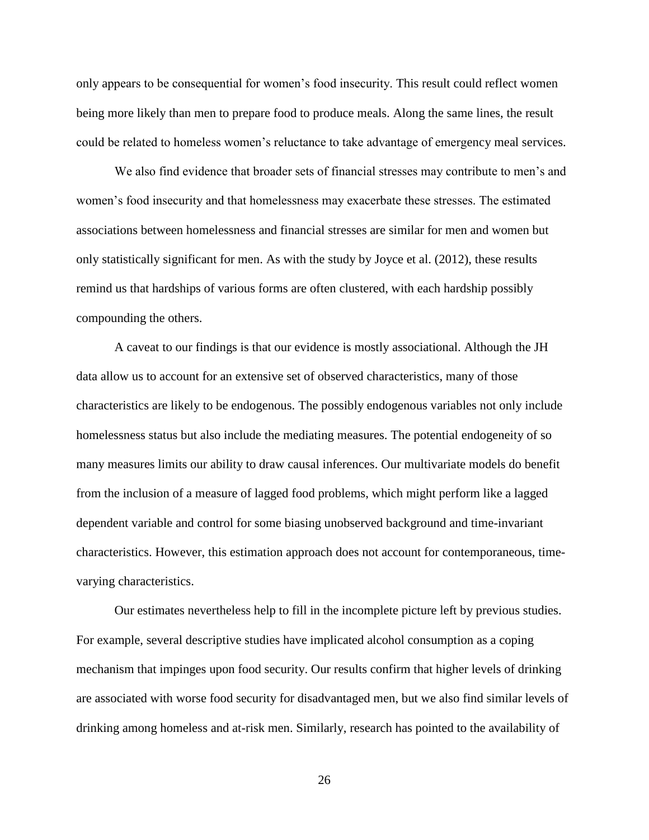only appears to be consequential for women's food insecurity. This result could reflect women being more likely than men to prepare food to produce meals. Along the same lines, the result could be related to homeless women's reluctance to take advantage of emergency meal services.

We also find evidence that broader sets of financial stresses may contribute to men's and women's food insecurity and that homelessness may exacerbate these stresses. The estimated associations between homelessness and financial stresses are similar for men and women but only statistically significant for men. As with the study by Joyce et al. (2012), these results remind us that hardships of various forms are often clustered, with each hardship possibly compounding the others.

A caveat to our findings is that our evidence is mostly associational. Although the JH data allow us to account for an extensive set of observed characteristics, many of those characteristics are likely to be endogenous. The possibly endogenous variables not only include homelessness status but also include the mediating measures. The potential endogeneity of so many measures limits our ability to draw causal inferences. Our multivariate models do benefit from the inclusion of a measure of lagged food problems, which might perform like a lagged dependent variable and control for some biasing unobserved background and time-invariant characteristics. However, this estimation approach does not account for contemporaneous, timevarying characteristics.

Our estimates nevertheless help to fill in the incomplete picture left by previous studies. For example, several descriptive studies have implicated alcohol consumption as a coping mechanism that impinges upon food security. Our results confirm that higher levels of drinking are associated with worse food security for disadvantaged men, but we also find similar levels of drinking among homeless and at-risk men. Similarly, research has pointed to the availability of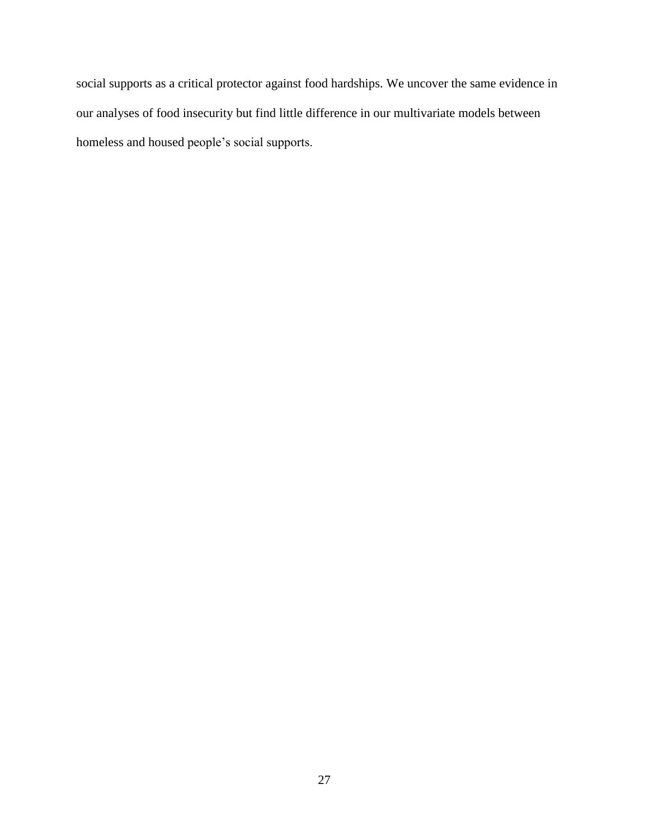social supports as a critical protector against food hardships. We uncover the same evidence in our analyses of food insecurity but find little difference in our multivariate models between homeless and housed people's social supports.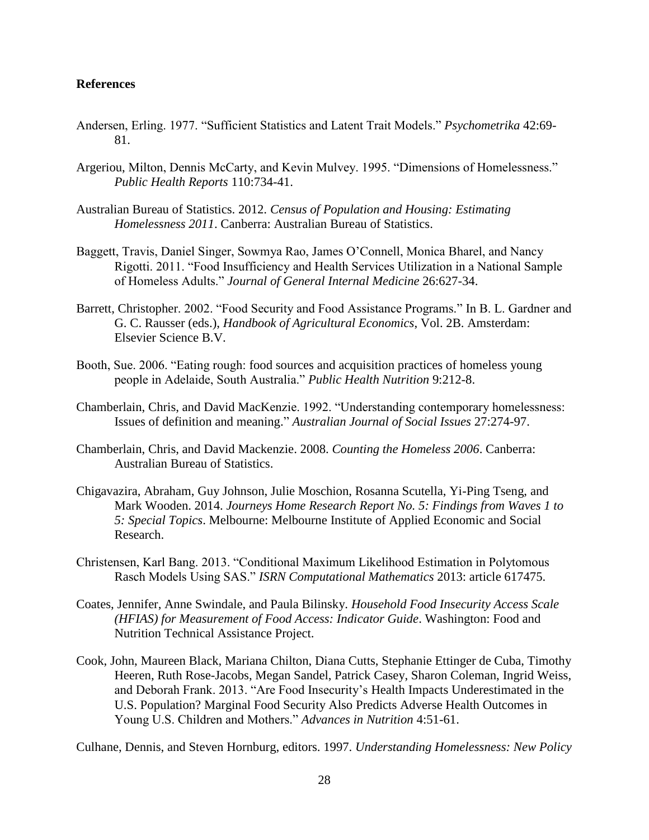# **References**

- Andersen, Erling. 1977. "Sufficient Statistics and Latent Trait Models." *Psychometrika* 42:69- 81.
- Argeriou, Milton, Dennis McCarty, and Kevin Mulvey. 1995. "Dimensions of Homelessness." *Public Health Reports* 110:734-41.
- Australian Bureau of Statistics. 2012. *Census of Population and Housing: Estimating Homelessness 2011*. Canberra: Australian Bureau of Statistics.
- Baggett, Travis, Daniel Singer, Sowmya Rao, James O'Connell, Monica Bharel, and Nancy Rigotti. 2011. "Food Insufficiency and Health Services Utilization in a National Sample of Homeless Adults." *Journal of General Internal Medicine* 26:627-34.
- Barrett, Christopher. 2002. "Food Security and Food Assistance Programs." In B. L. Gardner and G. C. Rausser (eds.), *Handbook of Agricultural Economics*, Vol. 2B. Amsterdam: Elsevier Science B.V.
- Booth, Sue. 2006. "Eating rough: food sources and acquisition practices of homeless young people in Adelaide, South Australia." *Public Health Nutrition* 9:212-8.
- Chamberlain, Chris, and David MacKenzie. 1992. "Understanding contemporary homelessness: Issues of definition and meaning." *Australian Journal of Social Issues* 27:274-97.
- Chamberlain, Chris, and David Mackenzie. 2008. *Counting the Homeless 2006*. Canberra: Australian Bureau of Statistics.
- Chigavazira, Abraham, Guy Johnson, Julie Moschion, Rosanna Scutella, Yi-Ping Tseng, and Mark Wooden. 2014. *Journeys Home Research Report No. 5: Findings from Waves 1 to 5: Special Topics*. Melbourne: Melbourne Institute of Applied Economic and Social Research.
- Christensen, Karl Bang. 2013. "Conditional Maximum Likelihood Estimation in Polytomous Rasch Models Using SAS." *ISRN Computational Mathematics* 2013: article 617475.
- Coates, Jennifer, Anne Swindale, and Paula Bilinsky. *Household Food Insecurity Access Scale (HFIAS) for Measurement of Food Access: Indicator Guide*. Washington: Food and Nutrition Technical Assistance Project.
- Cook, John, Maureen Black, Mariana Chilton, Diana Cutts, Stephanie Ettinger de Cuba, Timothy Heeren, Ruth Rose-Jacobs, Megan Sandel, Patrick Casey, Sharon Coleman, Ingrid Weiss, and Deborah Frank. 2013. "Are Food Insecurity's Health Impacts Underestimated in the U.S. Population? Marginal Food Security Also Predicts Adverse Health Outcomes in Young U.S. Children and Mothers." *Advances in Nutrition* 4:51-61.

Culhane, Dennis, and Steven Hornburg, editors. 1997. *Understanding Homelessness: New Policy*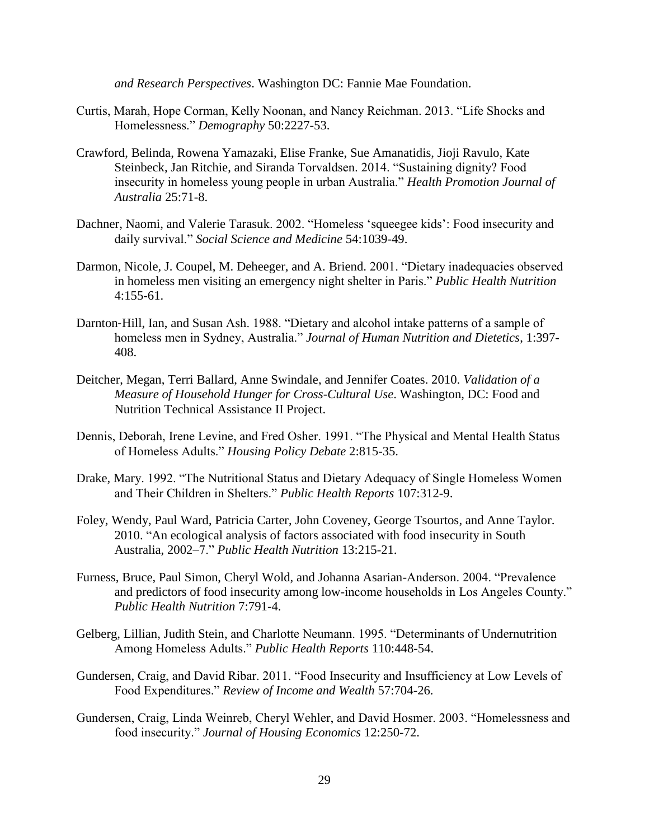*and Research Perspectives*. Washington DC: Fannie Mae Foundation.

- Curtis, Marah, Hope Corman, Kelly Noonan, and Nancy Reichman. 2013. "Life Shocks and Homelessness." *Demography* 50:2227-53.
- Crawford, Belinda, Rowena Yamazaki, Elise Franke, Sue Amanatidis, Jioji Ravulo, Kate Steinbeck, Jan Ritchie, and Siranda Torvaldsen. 2014. "Sustaining dignity? Food insecurity in homeless young people in urban Australia." *Health Promotion Journal of Australia* 25:71-8.
- Dachner, Naomi, and Valerie Tarasuk. 2002. "Homeless 'squeegee kids': Food insecurity and daily survival." *Social Science and Medicine* 54:1039-49.
- Darmon, Nicole, J. Coupel, M. Deheeger, and A. Briend. 2001. "Dietary inadequacies observed in homeless men visiting an emergency night shelter in Paris." *Public Health Nutrition* 4:155-61.
- Darnton‐Hill, Ian, and Susan Ash. 1988. "Dietary and alcohol intake patterns of a sample of homeless men in Sydney, Australia." *Journal of Human Nutrition and Dietetics*, 1:397- 408.
- Deitcher, Megan, Terri Ballard, Anne Swindale, and Jennifer Coates. 2010. *Validation of a Measure of Household Hunger for Cross-Cultural Use*. Washington, DC: Food and Nutrition Technical Assistance II Project.
- Dennis, Deborah, Irene Levine, and Fred Osher. 1991. "The Physical and Mental Health Status of Homeless Adults." *Housing Policy Debate* 2:815-35.
- Drake, Mary. 1992. "The Nutritional Status and Dietary Adequacy of Single Homeless Women and Their Children in Shelters." *Public Health Reports* 107:312-9.
- Foley, Wendy, Paul Ward, Patricia Carter, John Coveney, George Tsourtos, and Anne Taylor. 2010. "An ecological analysis of factors associated with food insecurity in South Australia, 2002–7." *Public Health Nutrition* 13:215-21.
- Furness, Bruce, Paul Simon, Cheryl Wold, and Johanna Asarian-Anderson. 2004. "Prevalence and predictors of food insecurity among low-income households in Los Angeles County." *Public Health Nutrition* 7:791-4.
- Gelberg, Lillian, Judith Stein, and Charlotte Neumann. 1995. "Determinants of Undernutrition Among Homeless Adults." *Public Health Reports* 110:448-54.
- Gundersen, Craig, and David Ribar. 2011. "Food Insecurity and Insufficiency at Low Levels of Food Expenditures." *Review of Income and Wealth* 57:704-26.
- Gundersen, Craig, Linda Weinreb, Cheryl Wehler, and David Hosmer. 2003. "Homelessness and food insecurity." *Journal of Housing Economics* 12:250-72.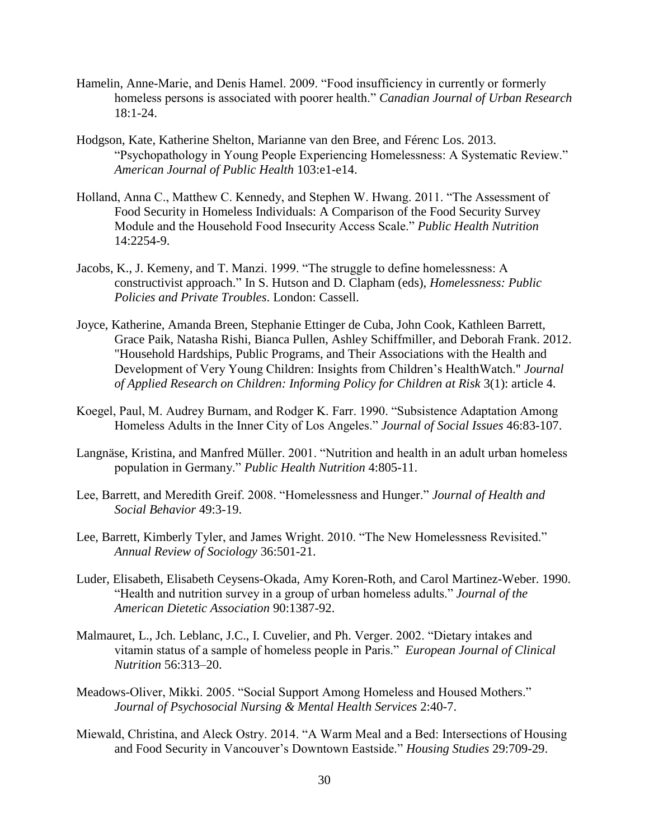- Hamelin, Anne-Marie, and Denis Hamel. 2009. "Food insufficiency in currently or formerly homeless persons is associated with poorer health." *Canadian Journal of Urban Research* 18:1-24.
- Hodgson, Kate, Katherine Shelton, Marianne van den Bree, and Férenc Los. 2013. "Psychopathology in Young People Experiencing Homelessness: A Systematic Review." *American Journal of Public Health* 103:e1-e14.
- Holland, Anna C., Matthew C. Kennedy, and Stephen W. Hwang. 2011. "The Assessment of Food Security in Homeless Individuals: A Comparison of the Food Security Survey Module and the Household Food Insecurity Access Scale." *Public Health Nutrition* 14:2254-9.
- Jacobs, K., J. Kemeny, and T. Manzi. 1999. "The struggle to define homelessness: A constructivist approach." In S. Hutson and D. Clapham (eds), *Homelessness: Public Policies and Private Troubles*. London: Cassell.
- Joyce, Katherine, Amanda Breen, Stephanie Ettinger de Cuba, John Cook, Kathleen Barrett, Grace Paik, Natasha Rishi, Bianca Pullen, Ashley Schiffmiller, and Deborah Frank. 2012. "Household Hardships, Public Programs, and Their Associations with the Health and Development of Very Young Children: Insights from Children's HealthWatch." *Journal of Applied Research on Children: Informing Policy for Children at Risk* 3(1): article 4.
- Koegel, Paul, M. Audrey Burnam, and Rodger K. Farr. 1990. "Subsistence Adaptation Among Homeless Adults in the Inner City of Los Angeles." *Journal of Social Issues* 46:83-107.
- Langnäse, Kristina, and Manfred Müller. 2001. "Nutrition and health in an adult urban homeless population in Germany." *Public Health Nutrition* 4:805-11.
- Lee, Barrett, and Meredith Greif. 2008. "Homelessness and Hunger." *Journal of Health and Social Behavior* 49:3-19.
- Lee, Barrett, Kimberly Tyler, and James Wright. 2010. "The New Homelessness Revisited." *Annual Review of Sociology* 36:501-21.
- Luder, Elisabeth, Elisabeth Ceysens-Okada, Amy Koren-Roth, and Carol Martinez-Weber. 1990. "Health and nutrition survey in a group of urban homeless adults." *Journal of the American Dietetic Association* 90:1387-92.
- Malmauret, L., Jch. Leblanc, J.C., I. Cuvelier, and Ph. Verger. 2002. "Dietary intakes and vitamin status of a sample of homeless people in Paris." *European Journal of Clinical Nutrition* 56:313–20.
- Meadows-Oliver, Mikki. 2005. "Social Support Among Homeless and Housed Mothers." *Journal of Psychosocial Nursing & Mental Health Services* 2:40-7.
- Miewald, Christina, and Aleck Ostry. 2014. "A Warm Meal and a Bed: Intersections of Housing and Food Security in Vancouver's Downtown Eastside." *Housing Studies* 29:709-29.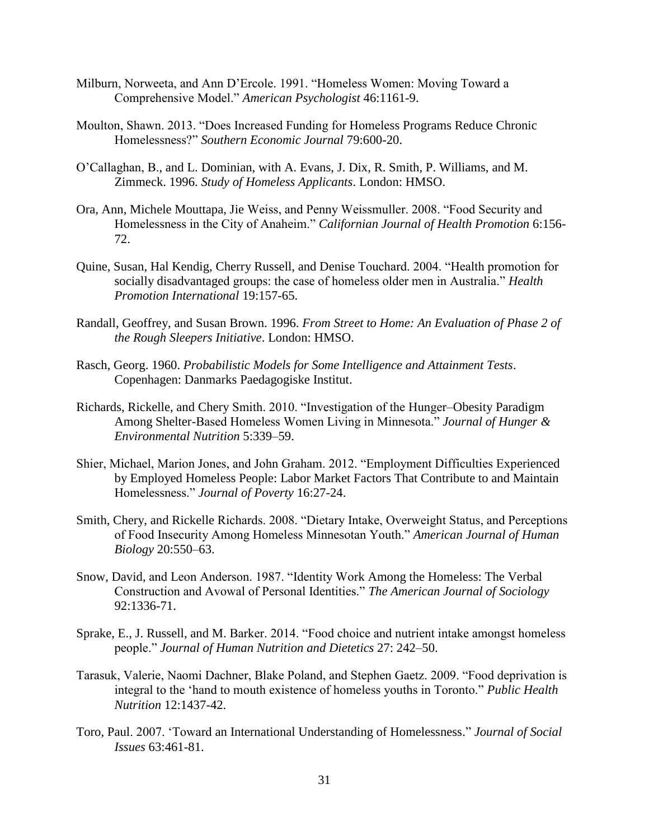- Milburn, Norweeta, and Ann D'Ercole. 1991. "Homeless Women: Moving Toward a Comprehensive Model." *American Psychologist* 46:1161-9.
- Moulton, Shawn. 2013. "Does Increased Funding for Homeless Programs Reduce Chronic Homelessness?" *Southern Economic Journal* 79:600-20.
- O'Callaghan, B., and L. Dominian, with A. Evans, J. Dix, R. Smith, P. Williams, and M. Zimmeck. 1996. *Study of Homeless Applicants*. London: HMSO.
- Ora, Ann, Michele Mouttapa, Jie Weiss, and Penny Weissmuller. 2008. "Food Security and Homelessness in the City of Anaheim." *Californian Journal of Health Promotion* 6:156- 72.
- Quine, Susan, Hal Kendig, Cherry Russell, and Denise Touchard. 2004. "Health promotion for socially disadvantaged groups: the case of homeless older men in Australia." *Health Promotion International* 19:157-65.
- Randall, Geoffrey, and Susan Brown. 1996. *From Street to Home: An Evaluation of Phase 2 of the Rough Sleepers Initiative*. London: HMSO.
- Rasch, Georg. 1960. *Probabilistic Models for Some Intelligence and Attainment Tests*. Copenhagen: Danmarks Paedagogiske Institut.
- Richards, Rickelle, and Chery Smith. 2010. "Investigation of the Hunger–Obesity Paradigm Among Shelter-Based Homeless Women Living in Minnesota." *Journal of Hunger & Environmental Nutrition* 5:339–59.
- Shier, Michael, Marion Jones, and John Graham. 2012. "Employment Difficulties Experienced by Employed Homeless People: Labor Market Factors That Contribute to and Maintain Homelessness." *Journal of Poverty* 16:27-24.
- Smith, Chery, and Rickelle Richards. 2008. "Dietary Intake, Overweight Status, and Perceptions of Food Insecurity Among Homeless Minnesotan Youth." *American Journal of Human Biology* 20:550–63.
- Snow, David, and Leon Anderson. 1987. "Identity Work Among the Homeless: The Verbal Construction and Avowal of Personal Identities." *The American Journal of Sociology* 92:1336-71.
- Sprake, E., J. Russell, and M. Barker. 2014. "Food choice and nutrient intake amongst homeless people." *Journal of Human Nutrition and Dietetics* 27: 242–50.
- Tarasuk, Valerie, Naomi Dachner, Blake Poland, and Stephen Gaetz. 2009. "Food deprivation is integral to the 'hand to mouth existence of homeless youths in Toronto." *Public Health Nutrition* 12:1437-42.
- Toro, Paul. 2007. 'Toward an International Understanding of Homelessness." *Journal of Social Issues* 63:461-81.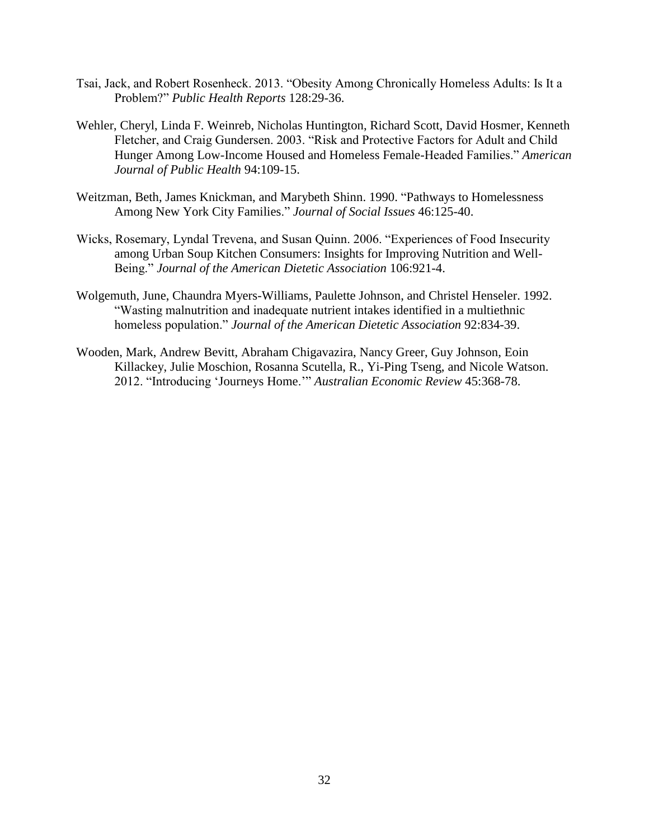- Tsai, Jack, and Robert Rosenheck. 2013. "Obesity Among Chronically Homeless Adults: Is It a Problem?" *Public Health Reports* 128:29-36.
- Wehler, Cheryl, Linda F. Weinreb, Nicholas Huntington, Richard Scott, David Hosmer, Kenneth Fletcher, and Craig Gundersen. 2003. "Risk and Protective Factors for Adult and Child Hunger Among Low-Income Housed and Homeless Female-Headed Families." *American Journal of Public Health* 94:109-15.
- Weitzman, Beth, James Knickman, and Marybeth Shinn. 1990. "Pathways to Homelessness Among New York City Families." *Journal of Social Issues* 46:125-40.
- Wicks, Rosemary, Lyndal Trevena, and Susan Quinn. 2006. "Experiences of Food Insecurity among Urban Soup Kitchen Consumers: Insights for Improving Nutrition and Well-Being." *Journal of the American Dietetic Association* 106:921-4.
- Wolgemuth, June, Chaundra Myers-Williams, Paulette Johnson, and Christel Henseler. 1992. "Wasting malnutrition and inadequate nutrient intakes identified in a multiethnic homeless population." *Journal of the American Dietetic Association* 92:834-39.
- Wooden, Mark, Andrew Bevitt, Abraham Chigavazira, Nancy Greer, Guy Johnson, Eoin Killackey, Julie Moschion, Rosanna Scutella, R., Yi-Ping Tseng, and Nicole Watson. 2012. "Introducing 'Journeys Home.'" *Australian Economic Review* 45:368-78.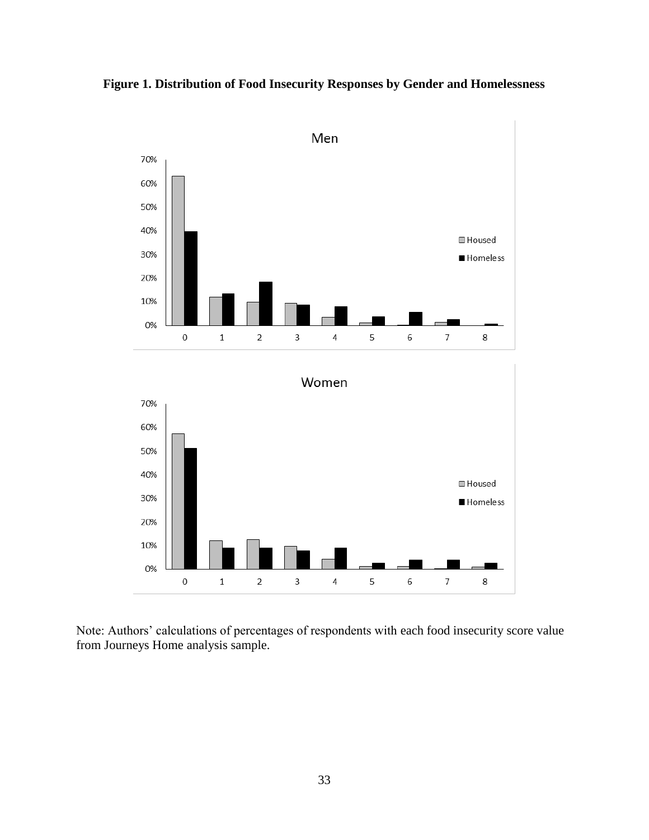



Note: Authors' calculations of percentages of respondents with each food insecurity score value from Journeys Home analysis sample.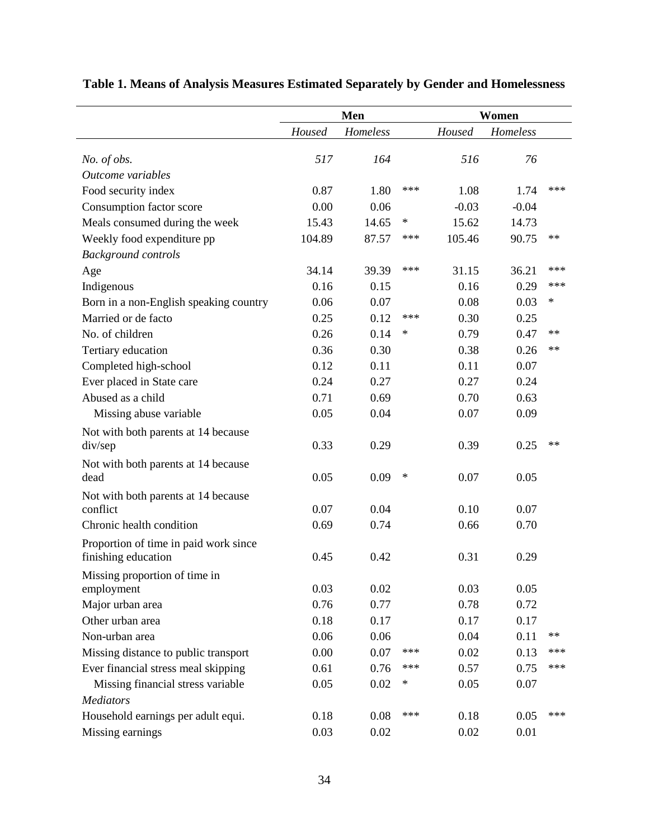|                                        |        | Men      |        | Women   |          |            |
|----------------------------------------|--------|----------|--------|---------|----------|------------|
|                                        | Housed | Homeless |        | Housed  | Homeless |            |
| No. of obs.                            | 517    | 164      |        | 516     | 76       |            |
| Outcome variables                      |        |          |        |         |          |            |
| Food security index                    | 0.87   | 1.80     | ***    | 1.08    | 1.74     | ***        |
| Consumption factor score               | 0.00   | 0.06     |        | $-0.03$ | $-0.04$  |            |
| Meals consumed during the week         | 15.43  | 14.65    | $\ast$ | 15.62   | 14.73    |            |
| Weekly food expenditure pp             | 104.89 | 87.57    | ***    | 105.46  | 90.75    | $***$      |
| <b>Background controls</b>             |        |          |        |         |          |            |
| Age                                    | 34.14  | 39.39    | $***$  | 31.15   | 36.21    | ***        |
| Indigenous                             | 0.16   | 0.15     |        | 0.16    | 0.29     | ***        |
| Born in a non-English speaking country | 0.06   | 0.07     |        | 0.08    | 0.03     | $\ast$     |
| Married or de facto                    | 0.25   | 0.12     | ***    | 0.30    | 0.25     |            |
| No. of children                        | 0.26   | 0.14     | ∗      | 0.79    | 0.47     | $***$      |
| Tertiary education                     | 0.36   | 0.30     |        | 0.38    | 0.26     | $**$       |
| Completed high-school                  | 0.12   | 0.11     |        | 0.11    | 0.07     |            |
| Ever placed in State care              | 0.24   | 0.27     |        | 0.27    | 0.24     |            |
| Abused as a child                      | 0.71   | 0.69     |        | 0.70    | 0.63     |            |
| Missing abuse variable                 | 0.05   | 0.04     |        | 0.07    | 0.09     |            |
| Not with both parents at 14 because    |        |          |        |         |          |            |
| div/sep                                | 0.33   | 0.29     |        | 0.39    | 0.25     | $**$       |
| Not with both parents at 14 because    |        |          |        |         |          |            |
| dead                                   | 0.05   | 0.09     | ∗      | 0.07    | 0.05     |            |
| Not with both parents at 14 because    |        |          |        |         |          |            |
| conflict                               | 0.07   | 0.04     |        | 0.10    | 0.07     |            |
| Chronic health condition               | 0.69   | 0.74     |        | 0.66    | 0.70     |            |
| Proportion of time in paid work since  |        |          |        |         |          |            |
| finishing education                    | 0.45   | 0.42     |        | 0.31    | 0.29     |            |
| Missing proportion of time in          |        |          |        |         |          |            |
| employment                             | 0.03   | 0.02     |        | 0.03    | 0.05     |            |
| Major urban area                       | 0.76   | 0.77     |        | 0.78    | 0.72     |            |
| Other urban area                       | 0.18   | 0.17     |        | 0.17    | 0.17     |            |
| Non-urban area                         | 0.06   | 0.06     |        | 0.04    | 0.11     | $\ast\ast$ |
| Missing distance to public transport   | 0.00   | 0.07     | ***    | 0.02    | 0.13     | ***        |
| Ever financial stress meal skipping    | 0.61   | 0.76     | ***    | 0.57    | 0.75     | $***$      |
| Missing financial stress variable      | 0.05   | 0.02     | ∗      | 0.05    | 0.07     |            |
| <b>Mediators</b>                       |        |          |        |         |          |            |
| Household earnings per adult equi.     | 0.18   | 0.08     | ***    | 0.18    | 0.05     | $***$      |
| Missing earnings                       | 0.03   | 0.02     |        | 0.02    | 0.01     |            |

# **Table 1. Means of Analysis Measures Estimated Separately by Gender and Homelessness**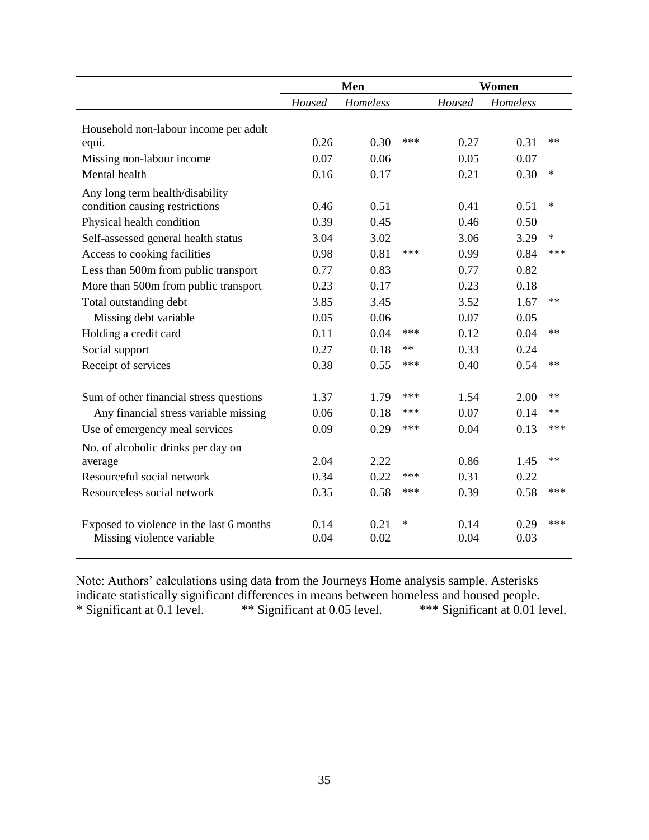|                                          |                    | Men  | Women  |        |          |        |
|------------------------------------------|--------------------|------|--------|--------|----------|--------|
|                                          | Homeless<br>Housed |      |        | Housed | Homeless |        |
| Household non-labour income per adult    |                    |      |        |        |          |        |
| equi.                                    | 0.26               | 0.30 | ***    | 0.27   | 0.31     | $**$   |
| Missing non-labour income                | 0.07               | 0.06 |        | 0.05   | 0.07     |        |
| Mental health                            | 0.16               | 0.17 |        | 0.21   | 0.30     | $\ast$ |
| Any long term health/disability          |                    |      |        |        |          |        |
| condition causing restrictions           | 0.46               | 0.51 |        | 0.41   | 0.51     | $\ast$ |
| Physical health condition                | 0.39               | 0.45 |        | 0.46   | 0.50     |        |
| Self-assessed general health status      | 3.04               | 3.02 |        | 3.06   | 3.29     | $\ast$ |
| Access to cooking facilities             | 0.98               | 0.81 | ***    | 0.99   | 0.84     | ***    |
| Less than 500m from public transport     | 0.77               | 0.83 |        | 0.77   | 0.82     |        |
| More than 500m from public transport     | 0.23               | 0.17 |        | 0.23   | 0.18     |        |
| Total outstanding debt                   | 3.85               | 3.45 |        | 3.52   | 1.67     | $**$   |
| Missing debt variable                    | 0.05               | 0.06 |        | 0.07   | 0.05     |        |
| Holding a credit card                    | 0.11               | 0.04 | ***    | 0.12   | 0.04     | $**$   |
| Social support                           | 0.27               | 0.18 | $**$   | 0.33   | 0.24     |        |
| Receipt of services                      | 0.38               | 0.55 | ***    | 0.40   | 0.54     | $**$   |
| Sum of other financial stress questions  | 1.37               | 1.79 | ***    | 1.54   | 2.00     | **     |
| Any financial stress variable missing    | 0.06               | 0.18 | ***    | 0.07   | 0.14     | $**$   |
| Use of emergency meal services           | 0.09               | 0.29 | ***    | 0.04   | 0.13     | ***    |
| No. of alcoholic drinks per day on       |                    |      |        |        |          |        |
| average                                  | 2.04               | 2.22 |        | 0.86   | 1.45     | $**$   |
| Resourceful social network               | 0.34               | 0.22 | ***    | 0.31   | 0.22     |        |
| Resourceless social network              | 0.35               | 0.58 | ***    | 0.39   | 0.58     | ***    |
| Exposed to violence in the last 6 months | 0.14               | 0.21 | $\ast$ | 0.14   | 0.29     | ***    |
| Missing violence variable                | 0.04               | 0.02 |        | 0.04   | 0.03     |        |

Note: Authors' calculations using data from the Journeys Home analysis sample. Asterisks indicate statistically significant differences in means between homeless and housed people.<br>\* Significant at 0.1 level. \*\*\* Significant at 0.01 l \*\*\* Significant at 0.01 level.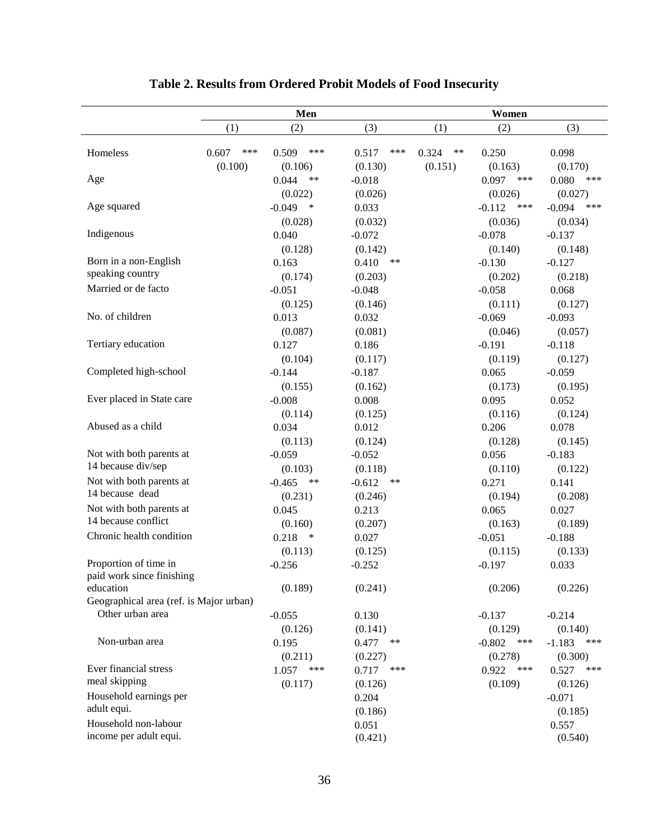|                                                      | Men          |                             |                                   | Women          |                                       |                                       |  |
|------------------------------------------------------|--------------|-----------------------------|-----------------------------------|----------------|---------------------------------------|---------------------------------------|--|
|                                                      | (1)          | (2)                         | (3)                               | (1)            | (2)                                   | (3)                                   |  |
| Homeless                                             | 0.607<br>*** | 0.509<br>***                | 0.517<br>***                      | 0.324<br>$***$ | 0.250                                 | 0.098                                 |  |
| Age                                                  | (0.100)      | (0.106)<br>0.044<br>$***$   | (0.130)<br>$-0.018$               | (0.151)        | (0.163)<br>0.097<br>***               | (0.170)<br>0.080<br>***               |  |
| Age squared                                          |              | (0.022)<br>$-0.049$<br>∗    | (0.026)<br>0.033                  |                | (0.026)<br>$-0.112$<br>***            | (0.027)<br>$-0.094$<br>***            |  |
| Indigenous                                           |              | (0.028)<br>0.040            | (0.032)<br>$-0.072$               |                | (0.036)<br>$-0.078$                   | (0.034)<br>$-0.137$                   |  |
| Born in a non-English                                |              | (0.128)<br>0.163            | (0.142)<br>0.410<br>$***$         |                | (0.140)<br>$-0.130$                   | (0.148)<br>$-0.127$                   |  |
| speaking country<br>Married or de facto              |              | (0.174)<br>$-0.051$         | (0.203)<br>$-0.048$               |                | (0.202)<br>$-0.058$                   | (0.218)<br>0.068                      |  |
| No. of children                                      |              | (0.125)<br>0.013            | (0.146)<br>0.032                  |                | (0.111)<br>$-0.069$                   | (0.127)<br>$-0.093$                   |  |
| Tertiary education                                   |              | (0.087)<br>0.127            | (0.081)<br>0.186                  |                | (0.046)<br>$-0.191$                   | (0.057)<br>$-0.118$                   |  |
| Completed high-school                                |              | (0.104)<br>$-0.144$         | (0.117)<br>$-0.187$               |                | (0.119)<br>0.065                      | (0.127)<br>$-0.059$                   |  |
| Ever placed in State care                            |              | (0.155)<br>$-0.008$         | (0.162)<br>0.008                  |                | (0.173)<br>0.095                      | (0.195)<br>0.052                      |  |
| Abused as a child                                    |              | (0.114)<br>0.034            | (0.125)<br>0.012                  |                | (0.116)<br>0.206                      | (0.124)<br>0.078                      |  |
|                                                      |              | (0.113)                     | (0.124)                           |                | (0.128)                               | (0.145)                               |  |
| Not with both parents at<br>14 because div/sep       |              | $-0.059$<br>(0.103)         | $-0.052$<br>(0.118)               |                | 0.056<br>(0.110)                      | $-0.183$<br>(0.122)                   |  |
| Not with both parents at<br>14 because dead          |              | $-0.465$<br>**<br>(0.231)   | $-0.612$<br>$***$<br>(0.246)      |                | 0.271<br>(0.194)                      | 0.141<br>(0.208)                      |  |
| Not with both parents at<br>14 because conflict      |              | 0.045<br>(0.160)            | 0.213<br>(0.207)                  |                | 0.065<br>(0.163)                      | 0.027<br>(0.189)                      |  |
| Chronic health condition                             |              | 0.218<br>$\ast$<br>(0.113)  | 0.027<br>(0.125)                  |                | $-0.051$<br>(0.115)                   | $-0.188$<br>(0.133)                   |  |
| Proportion of time in<br>paid work since finishing   |              | $-0.256$                    | $-0.252$                          |                | $-0.197$                              | 0.033                                 |  |
| education<br>Geographical area (ref. is Major urban) |              | (0.189)                     | (0.241)                           |                | (0.206)                               | (0.226)                               |  |
| Other urban area                                     |              | $-0.055$                    | 0.130                             |                | $-0.137$                              | $-0.214$                              |  |
| Non-urban area                                       |              | (0.126)<br>0.195<br>(0.211) | (0.141)<br>0.477<br>**<br>(0.227) |                | (0.129)<br>$-0.802$<br>***<br>(0.278) | (0.140)<br>$-1.183$<br>***<br>(0.300) |  |
| Ever financial stress<br>meal skipping               |              | 1.057<br>***<br>(0.117)     | 0.717<br>***<br>(0.126)           |                | 0.922<br>***<br>(0.109)               | 0.527<br>***<br>(0.126)               |  |
| Household earnings per<br>adult equi.                |              |                             | 0.204<br>(0.186)                  |                |                                       | $-0.071$<br>(0.185)                   |  |
| Household non-labour<br>income per adult equi.       |              |                             | 0.051<br>(0.421)                  |                |                                       | 0.557<br>(0.540)                      |  |

# **Table 2. Results from Ordered Probit Models of Food Insecurity**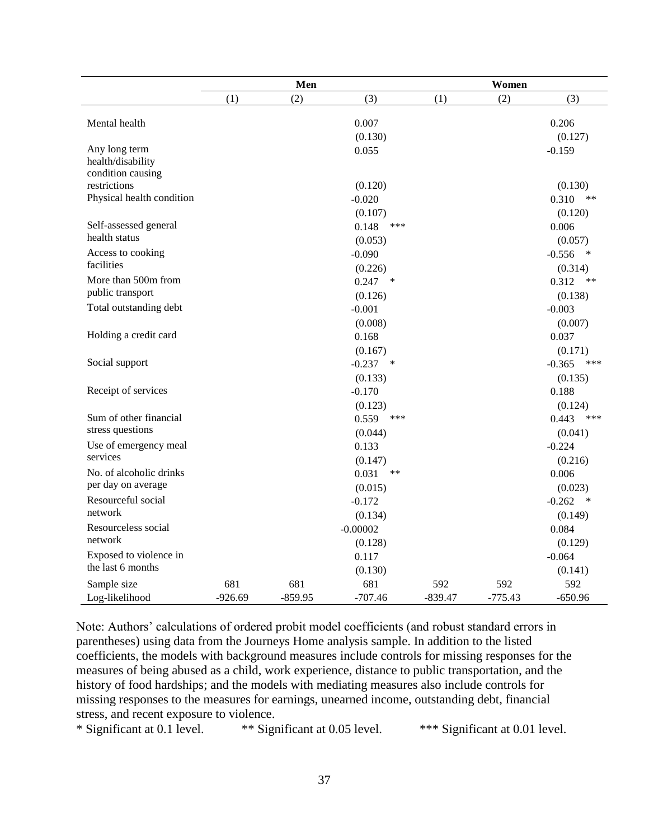|                                    | Men       |           |                 | Women     |           |                    |  |
|------------------------------------|-----------|-----------|-----------------|-----------|-----------|--------------------|--|
|                                    | (1)       | (2)       | (3)             | (1)       | (2)       | (3)                |  |
|                                    |           |           |                 |           |           |                    |  |
| Mental health                      |           |           | 0.007           |           |           | 0.206              |  |
|                                    |           |           | (0.130)         |           |           | (0.127)            |  |
| Any long term<br>health/disability |           |           | 0.055           |           |           | $-0.159$           |  |
| condition causing                  |           |           |                 |           |           |                    |  |
| restrictions                       |           |           | (0.120)         |           |           | (0.130)            |  |
| Physical health condition          |           |           | $-0.020$        |           |           | 0.310<br>**        |  |
|                                    |           |           | (0.107)         |           |           | (0.120)            |  |
| Self-assessed general              |           |           | 0.148<br>***    |           |           | 0.006              |  |
| health status                      |           |           | (0.053)         |           |           | (0.057)            |  |
| Access to cooking                  |           |           | $-0.090$        |           |           | $-0.556$ *         |  |
| facilities                         |           |           | (0.226)         |           |           | (0.314)            |  |
| More than 500m from                |           |           | $0.247$ *       |           |           | 0.312<br>**        |  |
| public transport                   |           |           | (0.126)         |           |           | (0.138)            |  |
| Total outstanding debt             |           |           | $-0.001$        |           |           | $-0.003$           |  |
|                                    |           |           | (0.008)         |           |           | (0.007)            |  |
| Holding a credit card              |           |           | 0.168           |           |           | 0.037              |  |
|                                    |           |           | (0.167)         |           |           | (0.171)            |  |
| Social support                     |           |           | $-0.237$<br>$*$ |           |           | $-0.365$<br>***    |  |
|                                    |           |           | (0.133)         |           |           | (0.135)            |  |
| Receipt of services                |           |           | $-0.170$        |           |           | 0.188              |  |
|                                    |           |           | (0.123)         |           |           | (0.124)            |  |
| Sum of other financial             |           |           | 0.559<br>***    |           |           | 0.443<br>***       |  |
| stress questions                   |           |           | (0.044)         |           |           | (0.041)            |  |
| Use of emergency meal              |           |           | 0.133           |           |           | $-0.224$           |  |
| services                           |           |           | (0.147)         |           |           | (0.216)            |  |
| No. of alcoholic drinks            |           |           | 0.031<br>$***$  |           |           | 0.006              |  |
| per day on average                 |           |           | (0.015)         |           |           | (0.023)            |  |
| Resourceful social                 |           |           | $-0.172$        |           |           | $-0.262$<br>$\ast$ |  |
| network                            |           |           | (0.134)         |           |           | (0.149)            |  |
| Resourceless social                |           |           | $-0.00002$      |           |           | 0.084              |  |
| network                            |           |           | (0.128)         |           |           | (0.129)            |  |
| Exposed to violence in             |           |           | 0.117           |           |           | $-0.064$           |  |
| the last 6 months                  |           |           | (0.130)         |           |           | (0.141)            |  |
| Sample size                        | 681       | 681       | 681             | 592       | 592       | 592                |  |
| Log-likelihood                     | $-926.69$ | $-859.95$ | $-707.46$       | $-839.47$ | $-775.43$ | $-650.96$          |  |

Note: Authors' calculations of ordered probit model coefficients (and robust standard errors in parentheses) using data from the Journeys Home analysis sample. In addition to the listed coefficients, the models with background measures include controls for missing responses for the measures of being abused as a child, work experience, distance to public transportation, and the history of food hardships; and the models with mediating measures also include controls for missing responses to the measures for earnings, unearned income, outstanding debt, financial stress, and recent exposure to violence.

\* Significant at 0.1 level. \*\* Significant at 0.05 level. \*\*\* Significant at 0.01 level.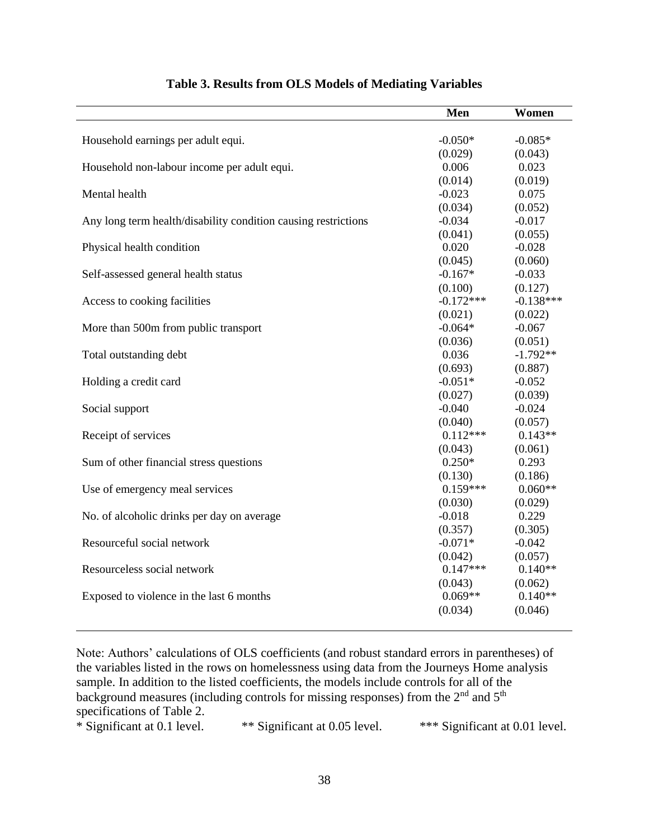|                                                                | Men         | Women       |
|----------------------------------------------------------------|-------------|-------------|
|                                                                |             |             |
| Household earnings per adult equi.                             | $-0.050*$   | $-0.085*$   |
|                                                                | (0.029)     | (0.043)     |
| Household non-labour income per adult equi.                    | 0.006       | 0.023       |
|                                                                | (0.014)     | (0.019)     |
| Mental health                                                  | $-0.023$    | 0.075       |
|                                                                | (0.034)     | (0.052)     |
| Any long term health/disability condition causing restrictions | $-0.034$    | $-0.017$    |
|                                                                | (0.041)     | (0.055)     |
| Physical health condition                                      | 0.020       | $-0.028$    |
|                                                                | (0.045)     | (0.060)     |
| Self-assessed general health status                            | $-0.167*$   | $-0.033$    |
|                                                                | (0.100)     | (0.127)     |
| Access to cooking facilities                                   | $-0.172***$ | $-0.138***$ |
|                                                                | (0.021)     | (0.022)     |
| More than 500m from public transport                           | $-0.064*$   | $-0.067$    |
|                                                                | (0.036)     | (0.051)     |
| Total outstanding debt                                         | 0.036       | $-1.792**$  |
|                                                                | (0.693)     | (0.887)     |
| Holding a credit card                                          | $-0.051*$   | $-0.052$    |
|                                                                | (0.027)     | (0.039)     |
| Social support                                                 | $-0.040$    | $-0.024$    |
|                                                                | (0.040)     | (0.057)     |
| Receipt of services                                            | $0.112***$  | $0.143**$   |
|                                                                | (0.043)     | (0.061)     |
| Sum of other financial stress questions                        | $0.250*$    | 0.293       |
|                                                                | (0.130)     | (0.186)     |
| Use of emergency meal services                                 | $0.159***$  | $0.060**$   |
|                                                                | (0.030)     | (0.029)     |
| No. of alcoholic drinks per day on average                     | $-0.018$    | 0.229       |
|                                                                | (0.357)     | (0.305)     |
| Resourceful social network                                     | $-0.071*$   | $-0.042$    |
|                                                                | (0.042)     | (0.057)     |
| Resourceless social network                                    | $0.147***$  | $0.140**$   |
|                                                                | (0.043)     | (0.062)     |
| Exposed to violence in the last 6 months                       | $0.069**$   | $0.140**$   |
|                                                                | (0.034)     | (0.046)     |
|                                                                |             |             |

# **Table 3. Results from OLS Models of Mediating Variables**

Note: Authors' calculations of OLS coefficients (and robust standard errors in parentheses) of the variables listed in the rows on homelessness using data from the Journeys Home analysis sample. In addition to the listed coefficients, the models include controls for all of the background measures (including controls for missing responses) from the  $2<sup>nd</sup>$  and  $5<sup>th</sup>$ 

specifications of Table 2.<br>\* Significant at 0.1 level. \*\* Significant at 0.05 level. \*\*\* Significant at 0.01 level.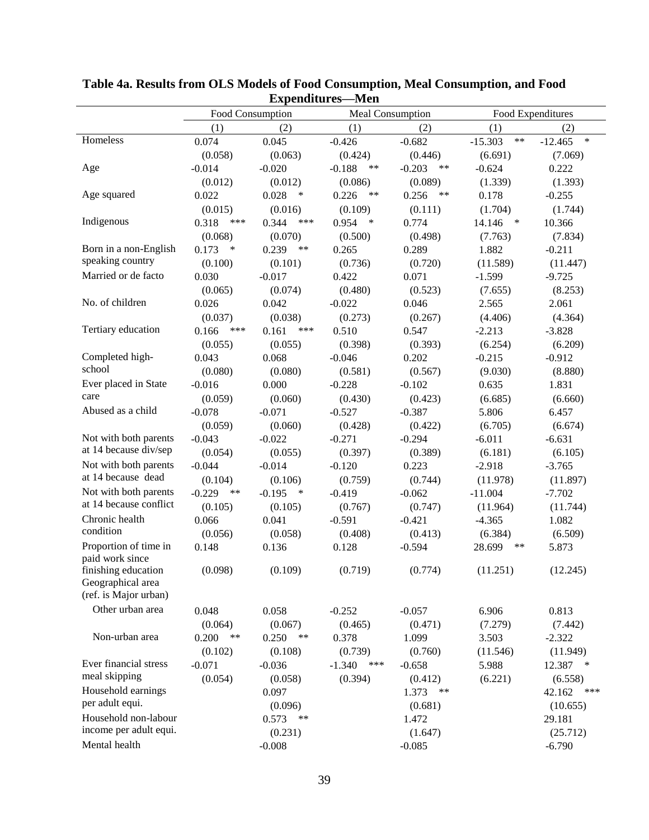| L'Apellullul es-<br>-татеп |                  |                    |                   |                   |                    |                     |
|----------------------------|------------------|--------------------|-------------------|-------------------|--------------------|---------------------|
|                            | Food Consumption |                    | Meal Consumption  |                   |                    | Food Expenditures   |
|                            | (1)              | (2)                | (1)               | (2)               | (1)                | (2)                 |
| Homeless                   | 0.074            | 0.045              | $-0.426$          | $-0.682$          | $***$<br>$-15.303$ | $\ast$<br>$-12.465$ |
|                            | (0.058)          | (0.063)            | (0.424)           | (0.446)           | (6.691)            | (7.069)             |
| Age                        | $-0.014$         | $-0.020$           | $-0.188$<br>$***$ | $-0.203$<br>$***$ | $-0.624$           | 0.222               |
|                            | (0.012)          | (0.012)            | (0.086)           | (0.089)           | (1.339)            | (1.393)             |
| Age squared                | 0.022            | 0.028<br>$\ast$    | 0.226<br>$***$    | 0.256<br>$***$    | 0.178              | $-0.255$            |
|                            | (0.015)          | (0.016)            | (0.109)           | (0.111)           | (1.704)            | (1.744)             |
| Indigenous                 | 0.318<br>$***$   | 0.344<br>***       | 0.954<br>∗        | 0.774             | 14.146<br>$\ast$   | 10.366              |
|                            | (0.068)          | (0.070)            | (0.500)           | (0.498)           | (7.763)            | (7.834)             |
| Born in a non-English      | 0.173<br>*       | 0.239<br>$***$     | 0.265             | 0.289             | 1.882              | $-0.211$            |
| speaking country           | (0.100)          | (0.101)            | (0.736)           | (0.720)           | (11.589)           | (11.447)            |
| Married or de facto        | 0.030            | $-0.017$           | 0.422             | 0.071             | $-1.599$           | $-9.725$            |
|                            | (0.065)          | (0.074)            | (0.480)           | (0.523)           | (7.655)            | (8.253)             |
| No. of children            | 0.026            | 0.042              | $-0.022$          | 0.046             | 2.565              | 2.061               |
|                            | (0.037)          | (0.038)            | (0.273)           | (0.267)           | (4.406)            | (4.364)             |
| Tertiary education         | ***<br>0.166     | ***<br>0.161       | 0.510             | 0.547             | $-2.213$           | $-3.828$            |
|                            | (0.055)          | (0.055)            | (0.398)           | (0.393)           | (6.254)            | (6.209)             |
| Completed high-            | 0.043            | 0.068              | $-0.046$          | 0.202             | $-0.215$           | $-0.912$            |
| school                     | (0.080)          | (0.080)            | (0.581)           | (0.567)           | (9.030)            | (8.880)             |
| Ever placed in State       | $-0.016$         | 0.000              | $-0.228$          | $-0.102$          | 0.635              | 1.831               |
| care                       | (0.059)          | (0.060)            | (0.430)           | (0.423)           | (6.685)            | (6.660)             |
| Abused as a child          | $-0.078$         | $-0.071$           | $-0.527$          | $-0.387$          | 5.806              | 6.457               |
|                            | (0.059)          | (0.060)            | (0.428)           | (0.422)           | (6.705)            | (6.674)             |
| Not with both parents      | $-0.043$         | $-0.022$           | $-0.271$          | $-0.294$          | $-6.011$           | $-6.631$            |
| at 14 because div/sep      | (0.054)          | (0.055)            | (0.397)           | (0.389)           | (6.181)            | (6.105)             |
| Not with both parents      | $-0.044$         | $-0.014$           | $-0.120$          | 0.223             | $-2.918$           | $-3.765$            |
| at 14 because dead         | (0.104)          | (0.106)            | (0.759)           | (0.744)           | (11.978)           | (11.897)            |
| Not with both parents      | $-0.229$<br>$**$ | $-0.195$<br>$\ast$ | $-0.419$          | $-0.062$          | $-11.004$          | $-7.702$            |
| at 14 because conflict     | (0.105)          | (0.105)            | (0.767)           | (0.747)           | (11.964)           | (11.744)            |
| Chronic health             | 0.066            | 0.041              | $-0.591$          | $-0.421$          | $-4.365$           | 1.082               |
| condition                  | (0.056)          | (0.058)            | (0.408)           | (0.413)           | (6.384)            | (6.509)             |
| Proportion of time in      | 0.148            | 0.136              | 0.128             | $-0.594$          | 28.699<br>$***$    | 5.873               |
| paid work since            |                  |                    |                   |                   |                    |                     |
| finishing education        | (0.098)          | (0.109)            | (0.719)           | (0.774)           | (11.251)           | (12.245)            |
| Geographical area          |                  |                    |                   |                   |                    |                     |
| (ref. is Major urban)      |                  |                    |                   |                   |                    |                     |
| Other urban area           | 0.048            | 0.058              | $-0.252$          | $-0.057$          | 6.906              | 0.813               |
|                            | (0.064)          | (0.067)            | (0.465)           | (0.471)           | (7.279)            | (7.442)             |
| Non-urban area             | 0.200<br>$***$   | 0.250<br>$***$     | 0.378             | 1.099             | 3.503              | $-2.322$            |
|                            | (0.102)          | (0.108)            | (0.739)           | (0.760)           | (11.546)           | (11.949)            |
| Ever financial stress      | $-0.071$         | $-0.036$           | ***<br>$-1.340$   | $-0.658$          | 5.988              | 12.387<br>$\ast$    |
| meal skipping              | (0.054)          | (0.058)            | (0.394)           | (0.412)           | (6.221)            | (6.558)             |
| Household earnings         |                  | 0.097              |                   | 1.373<br>$***$    |                    | ***<br>42.162       |
| per adult equi.            |                  | (0.096)            |                   | (0.681)           |                    | (10.655)            |
| Household non-labour       |                  | 0.573<br>$***$     |                   | 1.472             |                    | 29.181              |
| income per adult equi.     |                  | (0.231)            |                   | (1.647)           |                    | (25.712)            |
| Mental health              |                  | $-0.008$           |                   | $-0.085$          |                    | $-6.790$            |

# **Table 4a. Results from OLS Models of Food Consumption, Meal Consumption, and Food Expenditures—Men**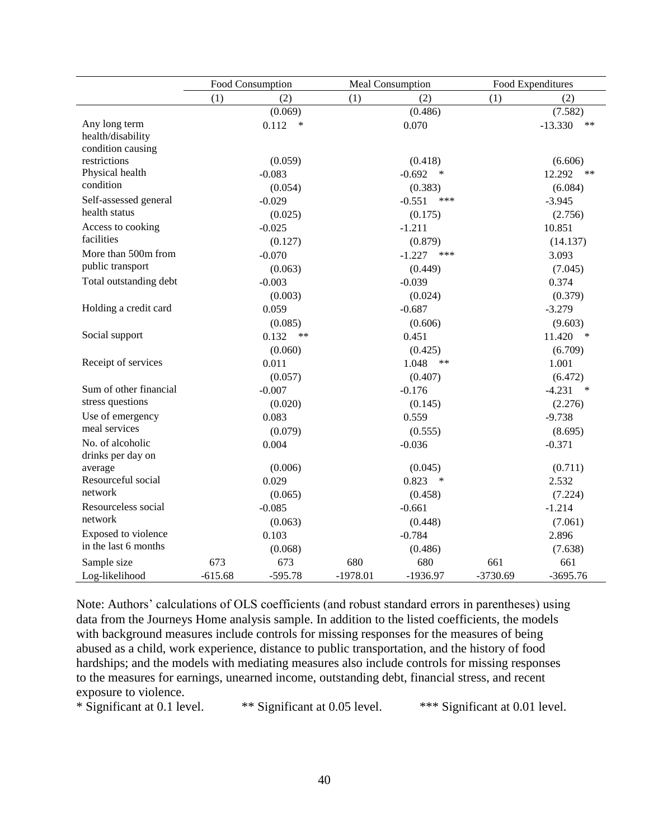|                        | Food Consumption |               |            | Meal Consumption   |            | Food Expenditures  |
|------------------------|------------------|---------------|------------|--------------------|------------|--------------------|
|                        | (1)              | (2)           | (1)        | (2)                | (1)        | (2)                |
|                        |                  | (0.069)       |            | (0.486)            |            | (7.582)            |
| Any long term          |                  | 0.112<br>∗    |            | 0.070              |            | $-13.330$<br>$**$  |
| health/disability      |                  |               |            |                    |            |                    |
| condition causing      |                  |               |            |                    |            |                    |
| restrictions           |                  | (0.059)       |            | (0.418)            |            | (6.606)            |
| Physical health        |                  | $-0.083$      |            | $-0.692$<br>$\ast$ |            | 12.292<br>$***$    |
| condition              |                  | (0.054)       |            | (0.383)            |            | (6.084)            |
| Self-assessed general  |                  | $-0.029$      |            | $-0.551$<br>***    |            | $-3.945$           |
| health status          |                  | (0.025)       |            | (0.175)            |            | (2.756)            |
| Access to cooking      |                  | $-0.025$      |            | $-1.211$           |            | 10.851             |
| facilities             |                  | (0.127)       |            | (0.879)            |            | (14.137)           |
| More than 500m from    |                  | $-0.070$      |            | $-1.227$<br>***    |            | 3.093              |
| public transport       |                  | (0.063)       |            | (0.449)            |            | (7.045)            |
| Total outstanding debt |                  | $-0.003$      |            | $-0.039$           |            | 0.374              |
|                        |                  | (0.003)       |            | (0.024)            |            | (0.379)            |
| Holding a credit card  |                  | 0.059         |            | $-0.687$           |            | $-3.279$           |
|                        |                  | (0.085)       |            | (0.606)            |            | (9.603)            |
| Social support         |                  | 0.132<br>$**$ |            | 0.451              |            | 11.420<br>∗        |
|                        |                  | (0.060)       |            | (0.425)            |            | (6.709)            |
| Receipt of services    |                  | 0.011         |            | 1.048<br>$***$     |            | 1.001              |
|                        |                  | (0.057)       |            | (0.407)            |            | (6.472)            |
| Sum of other financial |                  | $-0.007$      |            | $-0.176$           |            | $-4.231$<br>$\ast$ |
| stress questions       |                  | (0.020)       |            | (0.145)            |            | (2.276)            |
| Use of emergency       |                  | 0.083         |            | 0.559              |            | $-9.738$           |
| meal services          |                  | (0.079)       |            | (0.555)            |            | (8.695)            |
| No. of alcoholic       |                  | 0.004         |            | $-0.036$           |            | $-0.371$           |
| drinks per day on      |                  |               |            |                    |            |                    |
| average                |                  | (0.006)       |            | (0.045)            |            | (0.711)            |
| Resourceful social     |                  | 0.029         |            | 0.823<br>∗         |            | 2.532              |
| network                |                  | (0.065)       |            | (0.458)            |            | (7.224)            |
| Resourceless social    |                  | $-0.085$      |            | $-0.661$           |            | $-1.214$           |
| network                |                  | (0.063)       |            | (0.448)            |            | (7.061)            |
| Exposed to violence    |                  | 0.103         |            | $-0.784$           |            | 2.896              |
| in the last 6 months   |                  | (0.068)       |            | (0.486)            |            | (7.638)            |
| Sample size            | 673              | 673           | 680        | 680                | 661        | 661                |
| Log-likelihood         | $-615.68$        | $-595.78$     | $-1978.01$ | $-1936.97$         | $-3730.69$ | $-3695.76$         |

Note: Authors' calculations of OLS coefficients (and robust standard errors in parentheses) using data from the Journeys Home analysis sample. In addition to the listed coefficients, the models with background measures include controls for missing responses for the measures of being abused as a child, work experience, distance to public transportation, and the history of food hardships; and the models with mediating measures also include controls for missing responses to the measures for earnings, unearned income, outstanding debt, financial stress, and recent exposure to violence.

\* Significant at 0.1 level. \*\* Significant at 0.05 level. \*\*\* Significant at 0.01 level.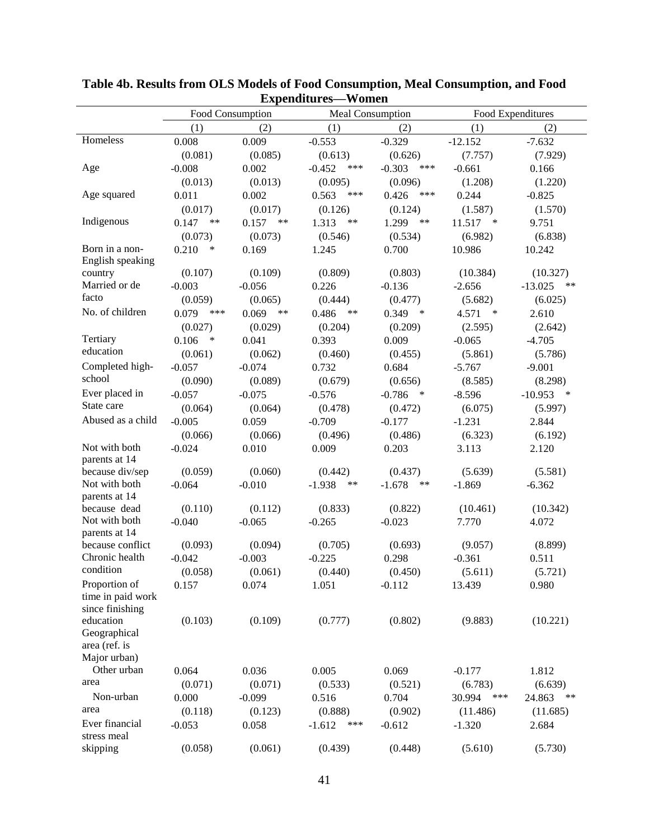| Experiment es women            |                  |                |                   |                    |                  |                     |  |  |
|--------------------------------|------------------|----------------|-------------------|--------------------|------------------|---------------------|--|--|
|                                | Food Consumption |                | Meal Consumption  |                    |                  | Food Expenditures   |  |  |
|                                | (1)              | (2)            | (1)               | (2)                | (1)              | (2)                 |  |  |
| Homeless                       | 0.008            | 0.009          | $-0.553$          | $-0.329$           | $-12.152$        | $-7.632$            |  |  |
|                                | (0.081)          | (0.085)        | (0.613)           | (0.626)            | (7.757)          | (7.929)             |  |  |
| Age                            | $-0.008$         | 0.002          | $-0.452$<br>***   | $-0.303$<br>***    | $-0.661$         | 0.166               |  |  |
|                                | (0.013)          | (0.013)        | (0.095)           | (0.096)            | (1.208)          | (1.220)             |  |  |
| Age squared                    | 0.011            | 0.002          | 0.563<br>***      | 0.426<br>***       | 0.244            | $-0.825$            |  |  |
|                                | (0.017)          | (0.017)        | (0.126)           | (0.124)            | (1.587)          | (1.570)             |  |  |
| Indigenous                     | 0.147<br>**      | 0.157<br>$***$ | 1.313<br>$***$    | 1.299<br>**        | 11.517<br>$\ast$ | 9.751               |  |  |
|                                | (0.073)          | (0.073)        | (0.546)           | (0.534)            | (6.982)          | (6.838)             |  |  |
| Born in a non-                 | 0.210<br>$\ast$  | 0.169          | 1.245             | 0.700              | 10.986           | 10.242              |  |  |
| English speaking               |                  |                |                   |                    |                  |                     |  |  |
| country                        | (0.107)          | (0.109)        | (0.809)           | (0.803)            | (10.384)         | (10.327)            |  |  |
| Married or de<br>facto         | $-0.003$         | $-0.056$       | 0.226             | $-0.136$           | $-2.656$         | $-13.025$<br>$***$  |  |  |
|                                | (0.059)          | (0.065)        | (0.444)           | (0.477)            | (5.682)          | (6.025)             |  |  |
| No. of children                | 0.079<br>***     | 0.069<br>**    | 0.486<br>$***$    | 0.349<br>$\ast$    | 4.571<br>$\ast$  | 2.610               |  |  |
|                                | (0.027)          | (0.029)        | (0.204)           | (0.209)            | (2.595)          | (2.642)             |  |  |
| Tertiary                       | 0.106<br>$\ast$  | 0.041          | 0.393             | 0.009              | $-0.065$         | $-4.705$            |  |  |
| education                      | (0.061)          | (0.062)        | (0.460)           | (0.455)            | (5.861)          | (5.786)             |  |  |
| Completed high-                | $-0.057$         | $-0.074$       | 0.732             | 0.684              | $-5.767$         | $-9.001$            |  |  |
| school                         | (0.090)          | (0.089)        | (0.679)           | (0.656)            | (8.585)          | (8.298)             |  |  |
| Ever placed in                 | $-0.057$         | $-0.075$       | $-0.576$          | $-0.786$<br>$\ast$ | $-8.596$         | $-10.953$<br>$\ast$ |  |  |
| State care                     | (0.064)          | (0.064)        | (0.478)           | (0.472)            | (6.075)          | (5.997)             |  |  |
| Abused as a child              | $-0.005$         | 0.059          | $-0.709$          | $-0.177$           | $-1.231$         | 2.844               |  |  |
|                                | (0.066)          | (0.066)        | (0.496)           | (0.486)            | (6.323)          | (6.192)             |  |  |
| Not with both<br>parents at 14 | $-0.024$         | 0.010          | 0.009             | 0.203              | 3.113            | 2.120               |  |  |
| because div/sep                | (0.059)          | (0.060)        | (0.442)           | (0.437)            | (5.639)          | (5.581)             |  |  |
| Not with both                  | $-0.064$         | $-0.010$       | $-1.938$<br>$***$ | $-1.678$<br>$***$  | $-1.869$         | $-6.362$            |  |  |
| parents at 14                  |                  |                |                   |                    |                  |                     |  |  |
| because dead                   | (0.110)          | (0.112)        | (0.833)           | (0.822)            | (10.461)         | (10.342)            |  |  |
| Not with both                  | $-0.040$         | $-0.065$       | $-0.265$          | $-0.023$           | 7.770            | 4.072               |  |  |
| parents at 14                  |                  |                |                   |                    |                  |                     |  |  |
| because conflict               | (0.093)          | (0.094)        | (0.705)           | (0.693)            | (9.057)          | (8.899)             |  |  |
| Chronic health                 | $-0.042$         | $-0.003$       | $-0.225$          | 0.298              | $-0.361$         | 0.511               |  |  |
| condition                      | (0.058)          | (0.061)        | (0.440)           | (0.450)            | (5.611)          | (5.721)             |  |  |
| Proportion of                  | 0.157            | 0.074          | 1.051             | $-0.112$           | 13.439           | 0.980               |  |  |
| time in paid work              |                  |                |                   |                    |                  |                     |  |  |
| since finishing                |                  |                |                   |                    |                  |                     |  |  |
| education                      | (0.103)          | (0.109)        | (0.777)           | (0.802)            | (9.883)          | (10.221)            |  |  |
| Geographical                   |                  |                |                   |                    |                  |                     |  |  |
| area (ref. is<br>Major urban)  |                  |                |                   |                    |                  |                     |  |  |
| Other urban                    | 0.064            | 0.036          | 0.005             | 0.069              | $-0.177$         | 1.812               |  |  |
| area                           |                  |                |                   |                    |                  |                     |  |  |
|                                | (0.071)          | (0.071)        | (0.533)           | (0.521)            | (6.783)          | (6.639)             |  |  |
| Non-urban<br>area              | 0.000            | $-0.099$       | 0.516             | 0.704              | 30.994<br>***    | 24.863<br>**        |  |  |
|                                | (0.118)          | (0.123)        | (0.888)           | (0.902)            | (11.486)         | (11.685)            |  |  |
| Ever financial<br>stress meal  | $-0.053$         | 0.058          | $-1.612$<br>***   | $-0.612$           | $-1.320$         | 2.684               |  |  |
| skipping                       | (0.058)          | (0.061)        | (0.439)           | (0.448)            | (5.610)          | (5.730)             |  |  |
|                                |                  |                |                   |                    |                  |                     |  |  |

**Table 4b. Results from OLS Models of Food Consumption, Meal Consumption, and Food Expenditures—Women**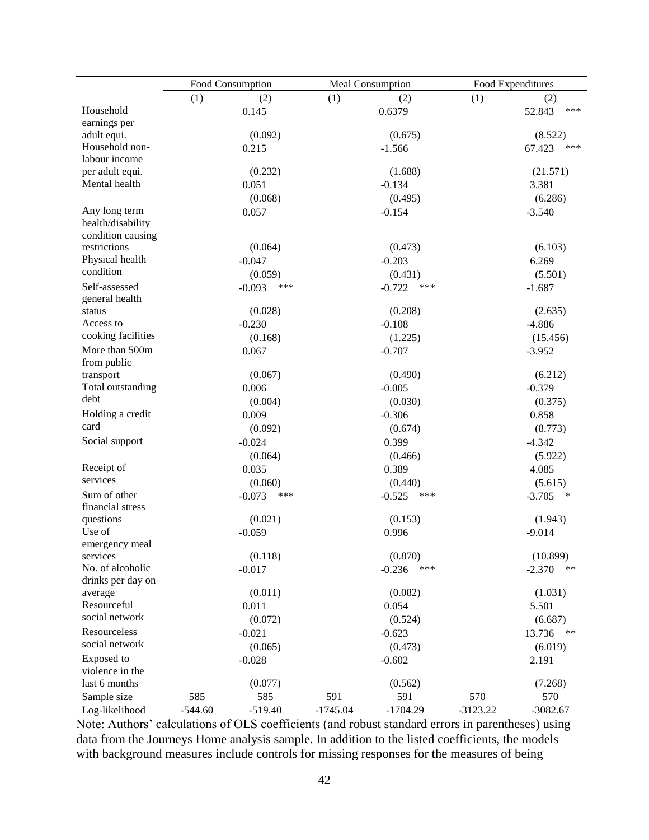|                                    | Food Consumption |                 |            | Meal Consumption |            | Food Expenditures |  |  |
|------------------------------------|------------------|-----------------|------------|------------------|------------|-------------------|--|--|
|                                    | (1)              | (2)             | (1)        | (2)              | (1)        | (2)               |  |  |
| Household                          |                  | 0.145           |            | 0.6379           |            | ***<br>52.843     |  |  |
| earnings per                       |                  |                 |            |                  |            |                   |  |  |
| adult equi.                        |                  | (0.092)         |            | (0.675)          |            | (8.522)           |  |  |
| Household non-                     |                  | 0.215           |            | $-1.566$         |            | 67.423<br>***     |  |  |
| labour income                      |                  |                 |            |                  |            |                   |  |  |
| per adult equi.                    |                  | (0.232)         |            | (1.688)          |            | (21.571)          |  |  |
| Mental health                      |                  | 0.051           |            | $-0.134$         |            | 3.381             |  |  |
|                                    |                  | (0.068)         |            | (0.495)          |            | (6.286)           |  |  |
| Any long term<br>health/disability |                  | 0.057           |            | $-0.154$         |            | $-3.540$          |  |  |
| condition causing                  |                  |                 |            |                  |            |                   |  |  |
| restrictions<br>Physical health    |                  | (0.064)         |            | (0.473)          |            | (6.103)           |  |  |
| condition                          |                  | $-0.047$        |            | $-0.203$         |            | 6.269             |  |  |
|                                    |                  | (0.059)         |            | (0.431)          |            | (5.501)           |  |  |
| Self-assessed                      |                  | $-0.093$<br>*** |            | $-0.722$<br>***  |            | $-1.687$          |  |  |
| general health<br>status           |                  | (0.028)         |            | (0.208)          |            | (2.635)           |  |  |
| Access to                          |                  | $-0.230$        |            | $-0.108$         |            | $-4.886$          |  |  |
| cooking facilities                 |                  |                 |            |                  |            |                   |  |  |
| More than 500m                     |                  | (0.168)         |            | (1.225)          |            | (15.456)          |  |  |
| from public                        |                  | 0.067           |            | $-0.707$         |            | $-3.952$          |  |  |
| transport                          |                  | (0.067)         |            | (0.490)          |            | (6.212)           |  |  |
| Total outstanding                  |                  | 0.006           |            | $-0.005$         |            | $-0.379$          |  |  |
| debt                               |                  | (0.004)         |            | (0.030)          |            | (0.375)           |  |  |
| Holding a credit                   |                  | 0.009           |            | $-0.306$         |            | 0.858             |  |  |
| card                               |                  | (0.092)         |            | (0.674)          |            | (8.773)           |  |  |
| Social support                     |                  | $-0.024$        |            | 0.399            |            | $-4.342$          |  |  |
|                                    |                  | (0.064)         |            | (0.466)          |            | (5.922)           |  |  |
| Receipt of                         |                  | 0.035           |            | 0.389            |            | 4.085             |  |  |
| services                           |                  | (0.060)         |            | (0.440)          |            | (5.615)           |  |  |
| Sum of other<br>financial stress   |                  | $-0.073$<br>*** |            | $-0.525$<br>***  |            | $-3.705$<br>∗     |  |  |
| questions                          |                  | (0.021)         |            | (0.153)          |            | (1.943)           |  |  |
| Use of<br>emergency meal           |                  | $-0.059$        |            | 0.996            |            | $-9.014$          |  |  |
| services                           |                  | (0.118)         |            | (0.870)          |            | (10.899)          |  |  |
| No. of alcoholic                   |                  | $-0.017$        |            | $-0.236$<br>***  |            | $-2.370$<br>$***$ |  |  |
| drinks per day on                  |                  |                 |            |                  |            |                   |  |  |
| average                            |                  | (0.011)         |            | (0.082)          |            | (1.031)           |  |  |
| Resourceful                        |                  | 0.011           |            | 0.054            |            | 5.501             |  |  |
| social network                     |                  | (0.072)         |            | (0.524)          |            | (6.687)           |  |  |
| Resourceless                       |                  | $-0.021$        |            | $-0.623$         |            | $***$<br>13.736   |  |  |
| social network                     |                  | (0.065)         |            | (0.473)          |            | (6.019)           |  |  |
| Exposed to<br>violence in the      |                  | $-0.028$        |            | $-0.602$         |            | 2.191             |  |  |
| last 6 months                      |                  | (0.077)         |            | (0.562)          |            | (7.268)           |  |  |
| Sample size                        | 585              | 585             | 591        | 591              | 570        | 570               |  |  |
| Log-likelihood                     | $-544.60$        | $-519.40$       | $-1745.04$ | $-1704.29$       | $-3123.22$ | $-3082.67$        |  |  |

Note: Authors' calculations of OLS coefficients (and robust standard errors in parentheses) using data from the Journeys Home analysis sample. In addition to the listed coefficients, the models with background measures include controls for missing responses for the measures of being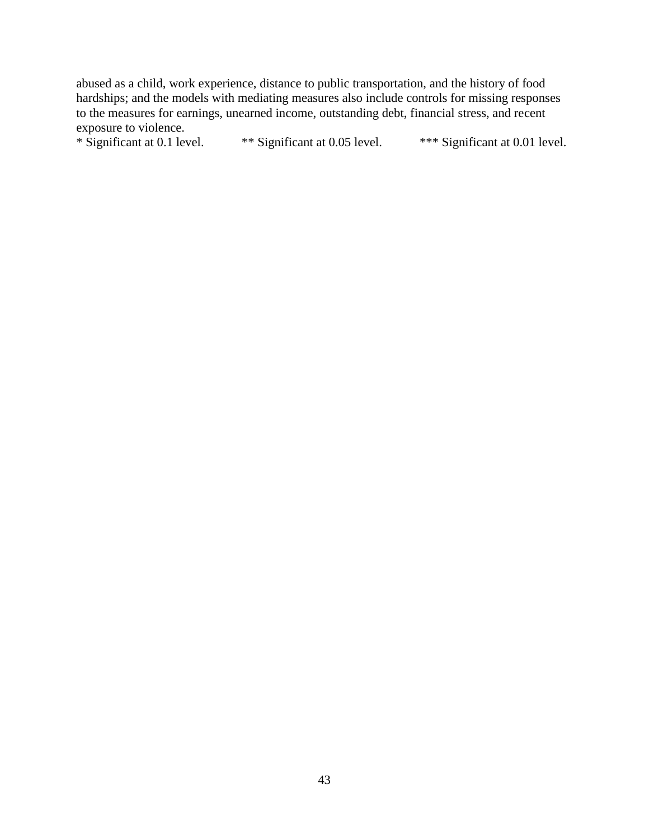abused as a child, work experience, distance to public transportation, and the history of food hardships; and the models with mediating measures also include controls for missing responses to the measures for earnings, unearned income, outstanding debt, financial stress, and recent exposure to violence.<br>\* Significant at 0.1 level.

\*\* Significant at 0.05 level. \*\*\* Significant at 0.01 level.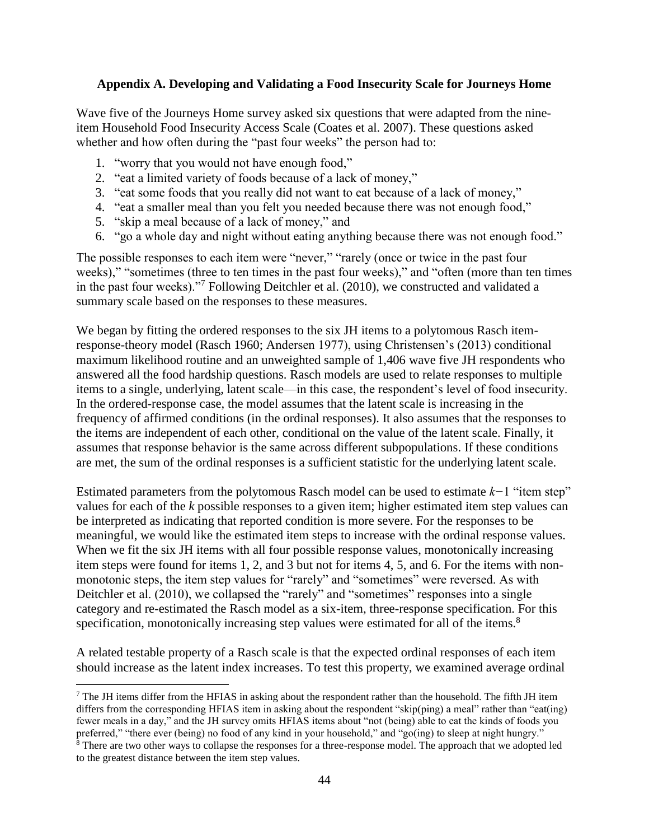# **Appendix A. Developing and Validating a Food Insecurity Scale for Journeys Home**

Wave five of the Journeys Home survey asked six questions that were adapted from the nineitem Household Food Insecurity Access Scale (Coates et al. 2007). These questions asked whether and how often during the "past four weeks" the person had to:

- 1. "worry that you would not have enough food,"
- 2. "eat a limited variety of foods because of a lack of money,"
- 3. "eat some foods that you really did not want to eat because of a lack of money,"
- 4. "eat a smaller meal than you felt you needed because there was not enough food,"
- 5. "skip a meal because of a lack of money," and

 $\overline{a}$ 

6. "go a whole day and night without eating anything because there was not enough food."

The possible responses to each item were "never," "rarely (once or twice in the past four weeks)," "sometimes (three to ten times in the past four weeks)," and "often (more than ten times in the past four weeks)."<sup>7</sup> Following Deitchler et al. (2010), we constructed and validated a summary scale based on the responses to these measures.

We began by fitting the ordered responses to the six JH items to a polytomous Rasch itemresponse-theory model (Rasch 1960; Andersen 1977), using Christensen's (2013) conditional maximum likelihood routine and an unweighted sample of 1,406 wave five JH respondents who answered all the food hardship questions. Rasch models are used to relate responses to multiple items to a single, underlying, latent scale—in this case, the respondent's level of food insecurity. In the ordered-response case, the model assumes that the latent scale is increasing in the frequency of affirmed conditions (in the ordinal responses). It also assumes that the responses to the items are independent of each other, conditional on the value of the latent scale. Finally, it assumes that response behavior is the same across different subpopulations. If these conditions are met, the sum of the ordinal responses is a sufficient statistic for the underlying latent scale.

Estimated parameters from the polytomous Rasch model can be used to estimate *k−*1 "item step" values for each of the *k* possible responses to a given item; higher estimated item step values can be interpreted as indicating that reported condition is more severe. For the responses to be meaningful, we would like the estimated item steps to increase with the ordinal response values. When we fit the six JH items with all four possible response values, monotonically increasing item steps were found for items 1, 2, and 3 but not for items 4, 5, and 6. For the items with nonmonotonic steps, the item step values for "rarely" and "sometimes" were reversed. As with Deitchler et al. (2010), we collapsed the "rarely" and "sometimes" responses into a single category and re-estimated the Rasch model as a six-item, three-response specification. For this specification, monotonically increasing step values were estimated for all of the items.<sup>8</sup>

A related testable property of a Rasch scale is that the expected ordinal responses of each item should increase as the latent index increases. To test this property, we examined average ordinal

 $<sup>7</sup>$  The JH items differ from the HFIAS in asking about the respondent rather than the household. The fifth JH item</sup> differs from the corresponding HFIAS item in asking about the respondent "skip(ping) a meal" rather than "eat(ing) fewer meals in a day," and the JH survey omits HFIAS items about "not (being) able to eat the kinds of foods you preferred," "there ever (being) no food of any kind in your household," and "go(ing) to sleep at night hungry." <sup>8</sup> There are two other ways to collapse the responses for a three-response model. The approach that we adopted led to the greatest distance between the item step values.